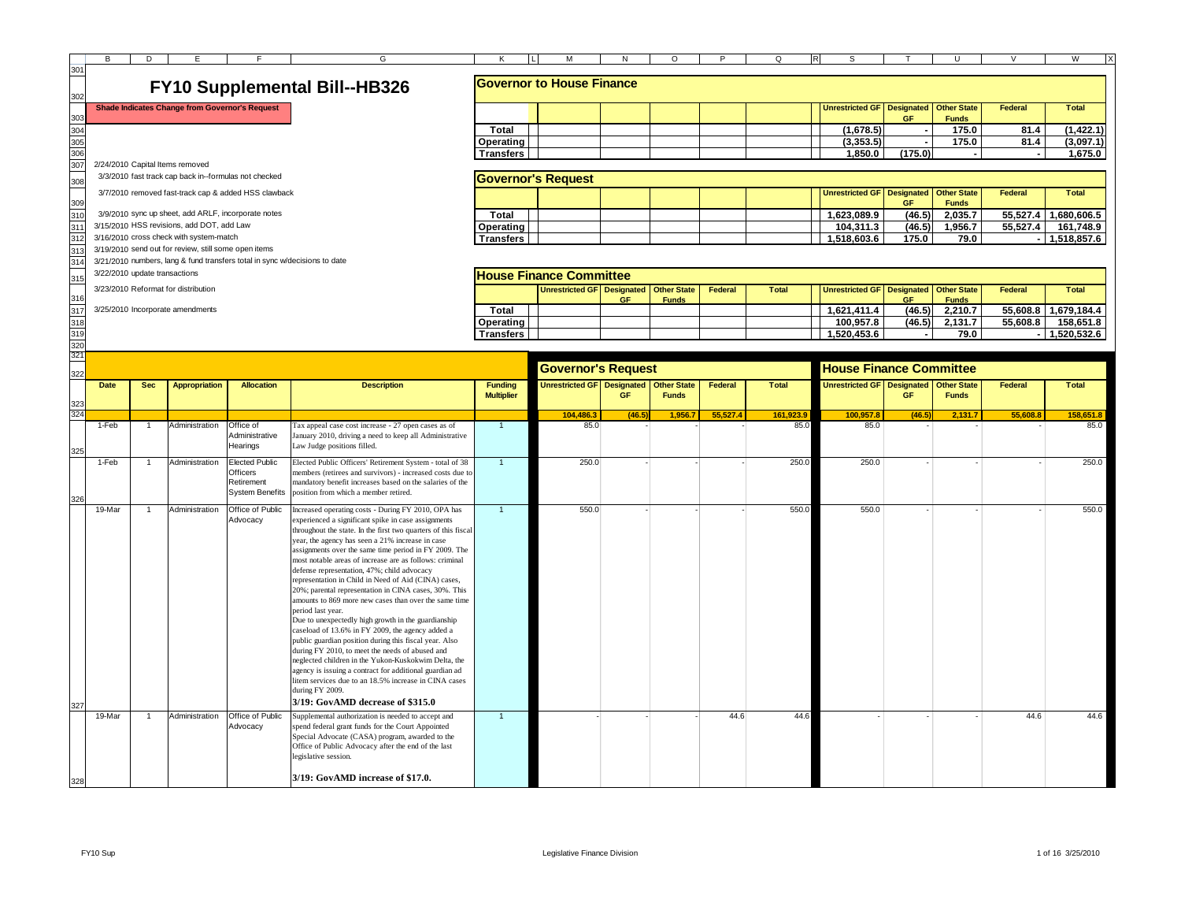|                 | B                             |                | Е                                                     |                                                                            |                                                                                                                  |                                     | М                                 |           |                                    |                | $\Omega$     | S                                      |                                |                                    |                |                      |
|-----------------|-------------------------------|----------------|-------------------------------------------------------|----------------------------------------------------------------------------|------------------------------------------------------------------------------------------------------------------|-------------------------------------|-----------------------------------|-----------|------------------------------------|----------------|--------------|----------------------------------------|--------------------------------|------------------------------------|----------------|----------------------|
| 301             |                               | D              |                                                       |                                                                            | G                                                                                                                |                                     |                                   | N         | O                                  |                |              |                                        |                                |                                    |                | W                    |
|                 |                               |                |                                                       |                                                                            | <b>FY10 Supplemental Bill--HB326</b>                                                                             |                                     | <b>Governor to House Finance</b>  |           |                                    |                |              |                                        |                                |                                    |                |                      |
|                 |                               |                | <b>Shade Indicates Change from Governor's Request</b> |                                                                            |                                                                                                                  |                                     |                                   |           |                                    |                |              | <b>Unrestricted GF</b>                 | <b>Designated</b><br><b>GF</b> | <b>Other State</b><br><b>Funds</b> | <b>Federal</b> | <b>Total</b>         |
| 304             |                               |                |                                                       |                                                                            |                                                                                                                  | Total                               |                                   |           |                                    |                |              | (1,678.5)                              |                                | 175.0                              | 81.4           | (1, 422.1)           |
| 305             |                               |                |                                                       |                                                                            |                                                                                                                  | <b>Operating</b>                    |                                   |           |                                    |                |              | (3, 353.5)                             |                                | 175.0                              | 81.4           | (3,097.1)            |
| 306             |                               |                |                                                       |                                                                            |                                                                                                                  | <b>Transfers</b>                    |                                   |           |                                    |                |              | 1,850.0                                | (175.0)                        |                                    |                | 1,675.0              |
| 30 <sup>°</sup> |                               |                | 2/24/2010 Capital Items removed                       |                                                                            |                                                                                                                  |                                     |                                   |           |                                    |                |              |                                        |                                |                                    |                |                      |
| 308             |                               |                | 3/3/2010 fast track cap back in--formulas not checked |                                                                            |                                                                                                                  |                                     | <b>Governor's Request</b>         |           |                                    |                |              |                                        |                                |                                    |                |                      |
|                 |                               |                |                                                       | 3/7/2010 removed fast-track cap & added HSS clawback                       |                                                                                                                  |                                     |                                   |           |                                    |                |              | <b>Unrestricted GF</b>                 | <b>Designated</b>              | <b>Other State</b>                 | <b>Federal</b> | Total                |
| 309<br>310      |                               |                | 3/9/2010 sync up sheet, add ARLF, incorporate notes   |                                                                            |                                                                                                                  | Total                               |                                   |           |                                    |                |              | 1,623,089.9                            | <b>GF</b><br>(46.5)            | <b>Funds</b><br>2,035.7            |                | 55,527.4 1,680,606.5 |
| 31              |                               |                | 3/15/2010 HSS revisions, add DOT, add Law             |                                                                            |                                                                                                                  |                                     |                                   |           |                                    |                |              |                                        | (46.5)                         | 1,956.7                            | 55,527.4       | 161,748.9            |
| 312             |                               |                | 3/16/2010 cross check with system-match               |                                                                            |                                                                                                                  | Operating                           |                                   |           |                                    |                |              | 104,311.3                              | 175.0                          | 79.0                               |                |                      |
|                 |                               |                | 3/19/2010 send out for review, still some open items  |                                                                            |                                                                                                                  | <b>Transfers</b>                    |                                   |           |                                    |                |              | 1,518,603.6                            |                                |                                    |                | 1,518,857.6          |
| 31              |                               |                |                                                       | 3/21/2010 numbers, lang & fund transfers total in sync w/decisions to date |                                                                                                                  |                                     |                                   |           |                                    |                |              |                                        |                                |                                    |                |                      |
|                 | 3/22/2010 update transactions |                |                                                       |                                                                            |                                                                                                                  |                                     | <b>House Finance Committee</b>    |           |                                    |                |              |                                        |                                |                                    |                |                      |
|                 |                               |                | 3/23/2010 Reformat for distribution                   |                                                                            |                                                                                                                  |                                     | <b>Unrestricted GF</b> Designated |           | <b>Other State</b>                 | Federal        | <b>Total</b> | Unrestricted GF Designated Other State |                                |                                    | Federal        | Total                |
| 316             |                               |                |                                                       |                                                                            |                                                                                                                  |                                     |                                   | <b>GF</b> | <b>Funds</b>                       |                |              |                                        | <b>GF</b>                      | <b>Funds</b>                       |                |                      |
| 31              |                               |                | 3/25/2010 Incorporate amendments                      |                                                                            |                                                                                                                  | Total                               |                                   |           |                                    |                |              | 1.621.411.4                            | (46.5)                         | 2,210.7                            |                | 55,608.8 1,679,184.4 |
| 318             |                               |                |                                                       |                                                                            |                                                                                                                  | <b>Operating</b>                    |                                   |           |                                    |                |              | 100.957.8                              | (46.5)                         | 2.131.7                            | 55,608.8       | 158,651.8            |
| 319             |                               |                |                                                       |                                                                            |                                                                                                                  | <b>Transfers</b>                    |                                   |           |                                    |                |              | 1.520.453.6                            |                                | 79.0                               |                | 1,520,532.6          |
| 320<br>32'      |                               |                |                                                       |                                                                            |                                                                                                                  |                                     |                                   |           |                                    |                |              |                                        |                                |                                    |                |                      |
|                 |                               |                |                                                       |                                                                            |                                                                                                                  |                                     |                                   |           |                                    |                |              |                                        |                                |                                    |                |                      |
|                 |                               |                |                                                       |                                                                            |                                                                                                                  |                                     |                                   |           |                                    |                |              |                                        |                                |                                    |                |                      |
|                 |                               |                |                                                       |                                                                            |                                                                                                                  |                                     | <b>Governor's Request</b>         |           |                                    |                |              | <b>House Finance Committee</b>         |                                |                                    |                |                      |
|                 | Date                          | <b>Sec</b>     | <b>Appropriation</b>                                  | <b>Allocation</b>                                                          | <b>Description</b>                                                                                               | <b>Funding</b><br><b>Multiplier</b> | <b>Unrestricted GF Designated</b> | GF.       | <b>Other State</b><br><b>Funds</b> | <b>Federal</b> | Total        | Unrestricted GF Designated Other State | <b>GF</b>                      | <b>Funds</b>                       | <b>Federal</b> | Total                |
|                 |                               |                |                                                       |                                                                            |                                                                                                                  |                                     | 104.486.                          | (46.5)    | 1.956.                             | 55,527.4       | 161.923.     | 100.957.                               | (46.5)                         | 2.131.7                            | 55.608.8       | 158,651.8            |
|                 | 1-Feb                         |                | Administration                                        | Office of                                                                  | Tax appeal case cost increase - 27 open cases as of                                                              |                                     | 85.0                              |           |                                    |                | 85.0         | 85.0                                   |                                |                                    |                | 85.0                 |
|                 |                               |                |                                                       | Administrative                                                             | January 2010, driving a need to keep all Administrative                                                          |                                     |                                   |           |                                    |                |              |                                        |                                |                                    |                |                      |
|                 |                               |                |                                                       | Hearings                                                                   | Law Judge positions filled.                                                                                      |                                     |                                   |           |                                    |                |              |                                        |                                |                                    |                |                      |
|                 | 1-Feb                         | $\mathbf{1}$   | Administration                                        | <b>Elected Public</b>                                                      | Elected Public Officers' Retirement System - total of 38                                                         | $\mathbf{1}$                        | 250.0                             |           |                                    |                | 250.0        | 250.0                                  |                                |                                    |                | 250.0                |
|                 |                               |                |                                                       | <b>Officers</b>                                                            | members (retirees and survivors) - increased costs due to                                                        |                                     |                                   |           |                                    |                |              |                                        |                                |                                    |                |                      |
|                 |                               |                |                                                       | Retirement                                                                 | nandatory benefit increases based on the salaries of the                                                         |                                     |                                   |           |                                    |                |              |                                        |                                |                                    |                |                      |
|                 |                               |                |                                                       | <b>System Benefits</b>                                                     | position from which a member retired.                                                                            |                                     |                                   |           |                                    |                |              |                                        |                                |                                    |                |                      |
|                 | 19-Mar                        | $\overline{1}$ | Administration                                        | Office of Public                                                           | Increased operating costs - During FY 2010, OPA has                                                              | $\overline{1}$                      | 550.0                             |           |                                    |                | 550.0        | 550.0                                  |                                |                                    |                | 550.0                |
|                 |                               |                |                                                       | Advocacy                                                                   | experienced a significant spike in case assignments                                                              |                                     |                                   |           |                                    |                |              |                                        |                                |                                    |                |                      |
|                 |                               |                |                                                       |                                                                            | throughout the state. In the first two quarters of this fiscal                                                   |                                     |                                   |           |                                    |                |              |                                        |                                |                                    |                |                      |
|                 |                               |                |                                                       |                                                                            | year, the agency has seen a 21% increase in case                                                                 |                                     |                                   |           |                                    |                |              |                                        |                                |                                    |                |                      |
|                 |                               |                |                                                       |                                                                            | assignments over the same time period in FY 2009. The<br>most notable areas of increase are as follows: criminal |                                     |                                   |           |                                    |                |              |                                        |                                |                                    |                |                      |
|                 |                               |                |                                                       |                                                                            | defense representation, 47%; child advocacy                                                                      |                                     |                                   |           |                                    |                |              |                                        |                                |                                    |                |                      |
|                 |                               |                |                                                       |                                                                            | representation in Child in Need of Aid (CINA) cases,                                                             |                                     |                                   |           |                                    |                |              |                                        |                                |                                    |                |                      |
|                 |                               |                |                                                       |                                                                            | 20%; parental representation in CINA cases, 30%. This                                                            |                                     |                                   |           |                                    |                |              |                                        |                                |                                    |                |                      |
|                 |                               |                |                                                       |                                                                            | amounts to 869 more new cases than over the same time                                                            |                                     |                                   |           |                                    |                |              |                                        |                                |                                    |                |                      |
|                 |                               |                |                                                       |                                                                            | period last year.                                                                                                |                                     |                                   |           |                                    |                |              |                                        |                                |                                    |                |                      |
|                 |                               |                |                                                       |                                                                            | Due to unexpectedly high growth in the guardianship<br>caseload of 13.6% in FY 2009, the agency added a          |                                     |                                   |           |                                    |                |              |                                        |                                |                                    |                |                      |
|                 |                               |                |                                                       |                                                                            | public guardian position during this fiscal year. Also<br>during FY 2010, to meet the needs of abused and        |                                     |                                   |           |                                    |                |              |                                        |                                |                                    |                |                      |

Advocacy

19-Mar 1 Administration Office of Public

neglected children in the Yukon-Kuskokwim Delta, the agency is issuing a contract for additional guardian ad litem services due to an 18.5% increase in CINA cases

**3/19: GovAMD decrease of \$315.0**

**3/19: GovAMD increase of \$17.0.**

Supplemental authorization is needed to accept and spend federal grant funds for the Court Appointed Special Advocate (CASA) program, awarded to the Office of Public Advocacy after the end of the last

during FY 2009.

legislative session.

327

328

1 - 1 - 1 - 44.6 44.6 - 1 - 44.6 44.6 44.6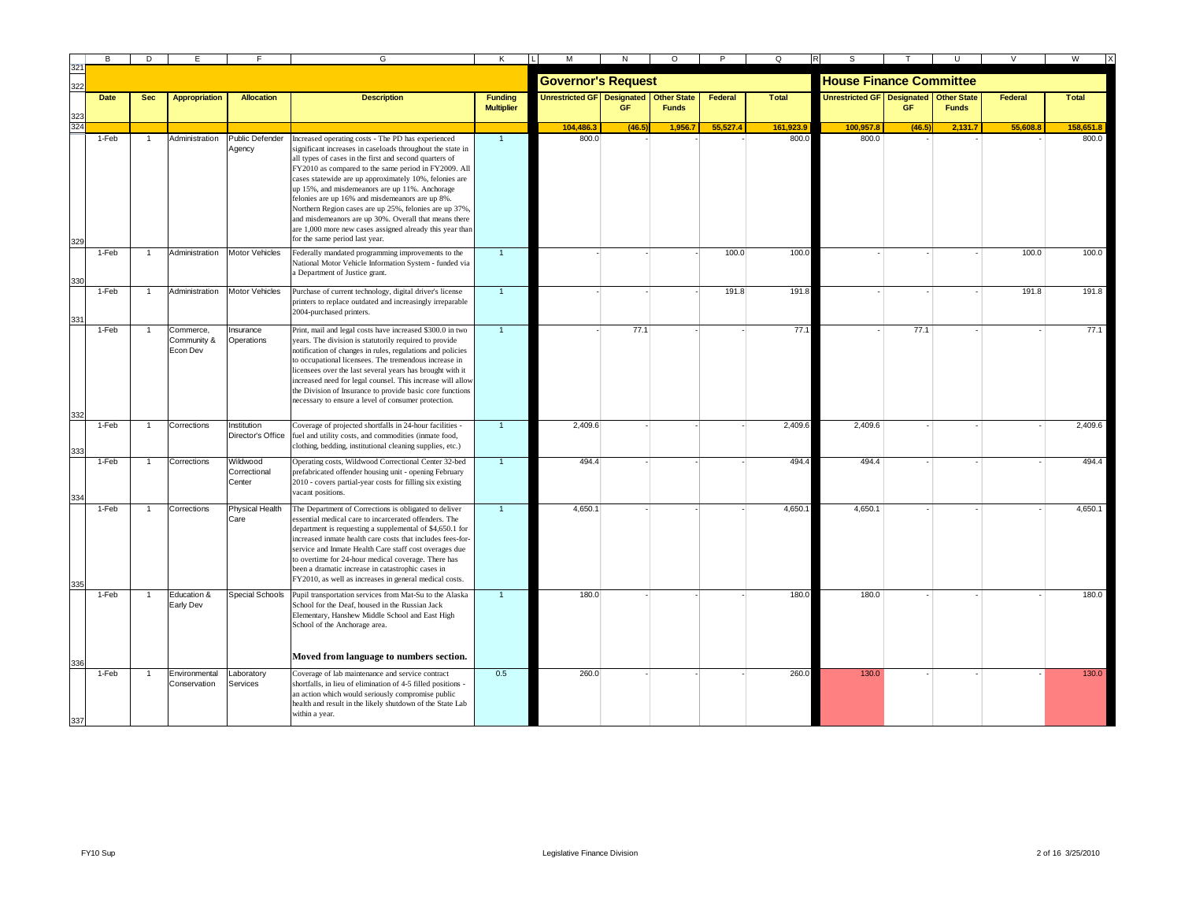|     | в           | D            |                                      |                                    | G                                                                                                                                                                                                                                                                                                                                                                                                                                                                                                                                                                                                                 |                                     |                            |           | O                                  |          | Q            |                                   |        |                                    |          | W            |
|-----|-------------|--------------|--------------------------------------|------------------------------------|-------------------------------------------------------------------------------------------------------------------------------------------------------------------------------------------------------------------------------------------------------------------------------------------------------------------------------------------------------------------------------------------------------------------------------------------------------------------------------------------------------------------------------------------------------------------------------------------------------------------|-------------------------------------|----------------------------|-----------|------------------------------------|----------|--------------|-----------------------------------|--------|------------------------------------|----------|--------------|
| 322 |             |              |                                      |                                    |                                                                                                                                                                                                                                                                                                                                                                                                                                                                                                                                                                                                                   |                                     | <b>Governor's Request</b>  |           |                                    |          |              | <b>House Finance Committee</b>    |        |                                    |          |              |
|     | <b>Date</b> | <b>Sec</b>   | <b>Appropriation</b>                 | <b>Allocation</b>                  | <b>Description</b>                                                                                                                                                                                                                                                                                                                                                                                                                                                                                                                                                                                                | <b>Funding</b><br><b>Multiplier</b> | Unrestricted GF Designated | <b>GF</b> | <b>Other State</b><br><b>Funds</b> | Federal  | <b>Total</b> | <b>Unrestricted GF Designated</b> | GF     | <b>Other State</b><br><b>Funds</b> | Federal  | <b>Total</b> |
| 324 |             |              |                                      |                                    |                                                                                                                                                                                                                                                                                                                                                                                                                                                                                                                                                                                                                   |                                     | 104.486.3                  | (46)      | 1,956.7                            | 55,527.4 | 161,923.9    | 100,957.8                         | (46.5) | 2,131.7                            | 55.608.8 | 158,651.8    |
|     | 1-Feb       | $\mathbf{1}$ | Administration                       | Public Defender<br>Agency          | Increased operating costs - The PD has experienced<br>ignificant increases in caseloads throughout the state in<br>all types of cases in the first and second quarters of<br>FY2010 as compared to the same period in FY2009. All<br>cases statewide are up approximately 10%, felonies are<br>up 15%, and misdemeanors are up 11%. Anchorage<br>felonies are up 16% and misdemeanors are up 8%.<br>Northern Region cases are up 25%, felonies are up 37%,<br>and misdemeanors are up 30%. Overall that means there<br>are 1,000 more new cases assigned already this year than<br>for the same period last year. | $\overline{1}$                      | 800.0                      |           |                                    |          | 800.0        | 800.0                             |        |                                    |          | 800.0        |
|     | 1-Feb       | $\mathbf{1}$ | Administration                       | <b>Motor Vehicles</b>              | Federally mandated programming improvements to the<br>National Motor Vehicle Information System - funded via<br>a Department of Justice grant.                                                                                                                                                                                                                                                                                                                                                                                                                                                                    | $\overline{1}$                      |                            |           |                                    | 100.0    | 100.0        |                                   |        |                                    | 100.0    | 100.0        |
|     | 1-Feb       | $\mathbf{1}$ | Administration                       | Motor Vehicles                     | Purchase of current technology, digital driver's license<br>printers to replace outdated and increasingly irreparable<br>2004-purchased printers.                                                                                                                                                                                                                                                                                                                                                                                                                                                                 | $\overline{1}$                      |                            |           |                                    | 191.8    | 191.8        |                                   |        |                                    | 191.8    | 191.8        |
|     | 1-Feb       |              | Commerce,<br>Community &<br>Econ Dev | Insurance<br>Operations            | Print, mail and legal costs have increased \$300.0 in two<br>years. The division is statutorily required to provide<br>notification of changes in rules, regulations and policies<br>to occupational licensees. The tremendous increase in<br>licensees over the last several years has brought with it<br>increased need for legal counsel. This increase will allow<br>the Division of Insurance to provide basic core functions<br>necessary to ensure a level of consumer protection.                                                                                                                         |                                     |                            | 77.1      |                                    |          | 77.1         |                                   | 77.1   |                                    |          | 77.1         |
|     | 1-Feb       | $\mathbf{1}$ | Corrections                          | Institution<br>Director's Office   | Coverage of projected shortfalls in 24-hour facilities -<br>fuel and utility costs, and commodities (inmate food,<br>clothing, bedding, institutional cleaning supplies, etc.)                                                                                                                                                                                                                                                                                                                                                                                                                                    | $\overline{1}$                      | 2,409.6                    |           |                                    |          | 2,409.6      | 2,409.6                           |        |                                    |          | 2,409.6      |
|     | 1-Feb       |              | Corrections                          | Wildwood<br>Correctional<br>Center | Operating costs, Wildwood Correctional Center 32-bed<br>prefabricated offender housing unit - opening February<br>2010 - covers partial-year costs for filling six existing<br>vacant positions.                                                                                                                                                                                                                                                                                                                                                                                                                  | $\mathbf{1}$                        | 494.4                      |           |                                    |          | 494.4        | 494.4                             |        |                                    |          | 494.4        |
|     | 1-Feb       | $\mathbf{1}$ | Corrections                          | <b>Physical Health</b><br>Care     | The Department of Corrections is obligated to deliver<br>essential medical care to incarcerated offenders. The<br>department is requesting a supplemental of \$4,650.1 for<br>increased inmate health care costs that includes fees-for-<br>service and Inmate Health Care staff cost overages due<br>to overtime for 24-hour medical coverage. There has<br>been a dramatic increase in catastrophic cases in<br>FY2010, as well as increases in general medical costs.                                                                                                                                          |                                     | 4,650.1                    |           |                                    |          | 4,650.       | 4,650.1                           |        |                                    |          | 4,650.1      |
|     | 1-Feb       | $\mathbf{1}$ | Education &<br>Early Dev             | Special Schools                    | Pupil transportation services from Mat-Su to the Alaska<br>School for the Deaf, housed in the Russian Jack<br>Elementary, Hanshew Middle School and East High<br>School of the Anchorage area.<br>Moved from language to numbers section.                                                                                                                                                                                                                                                                                                                                                                         | $\overline{1}$                      | 180.0                      |           |                                    |          | 180.0        | 180.0                             |        |                                    |          | 180.0        |
|     | 1-Feb       |              | Environmental<br>Conservation        | Laboratory<br>Services             | Coverage of lab maintenance and service contract<br>shortfalls, in lieu of elimination of 4-5 filled positions -<br>an action which would seriously compromise public<br>health and result in the likely shutdown of the State Lab<br>within a year.                                                                                                                                                                                                                                                                                                                                                              | 0.5                                 | 260.0                      |           |                                    |          | 260.0        | 130.0                             |        |                                    |          | 130.0        |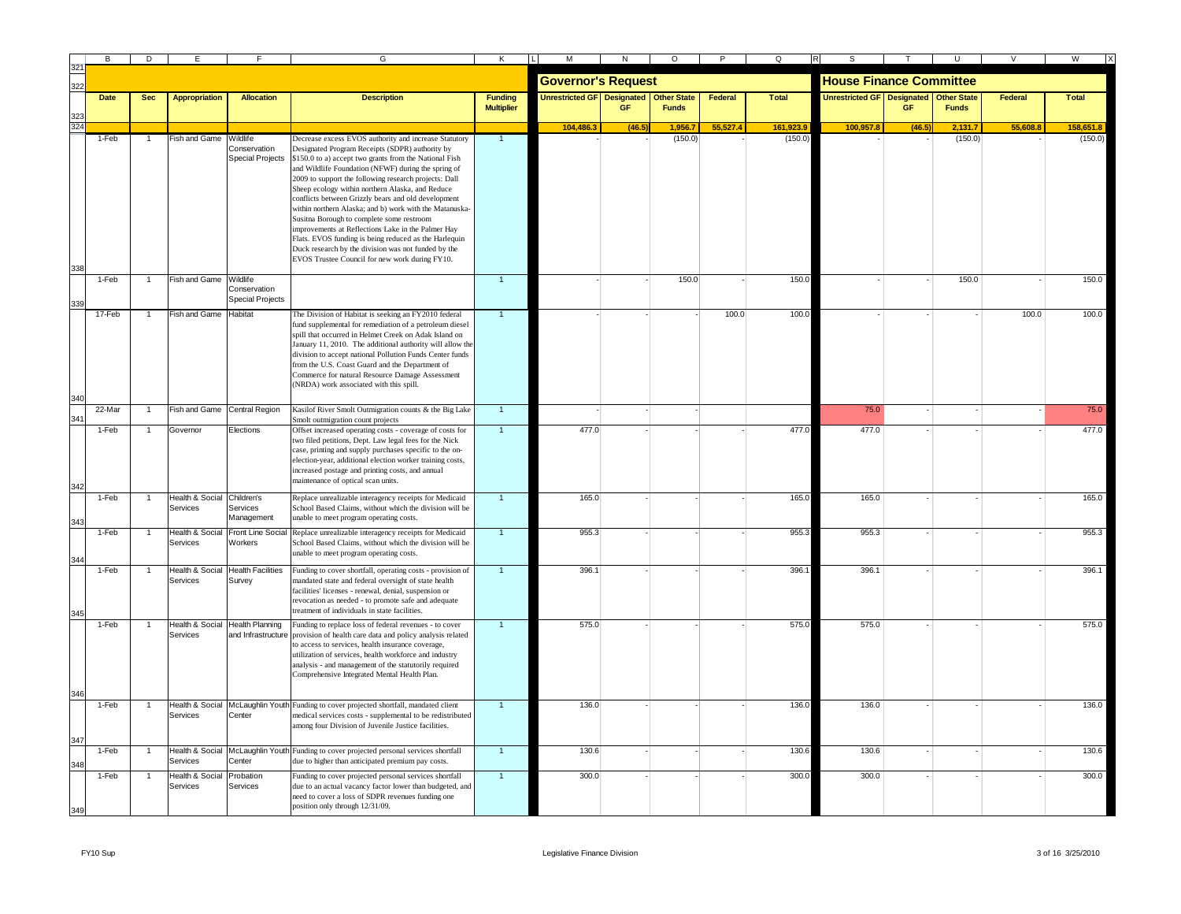|     | B           | D              | E                          |                                   | G                                                                            | K                                   |                                   |        | O                                  |          | Q            |                                   |        |                                    |         | W            |
|-----|-------------|----------------|----------------------------|-----------------------------------|------------------------------------------------------------------------------|-------------------------------------|-----------------------------------|--------|------------------------------------|----------|--------------|-----------------------------------|--------|------------------------------------|---------|--------------|
|     |             |                |                            |                                   |                                                                              |                                     | <b>Governor's Request</b>         |        |                                    |          |              | <b>House Finance Committee</b>    |        |                                    |         |              |
|     | <b>Date</b> | <b>Sec</b>     | <b>Appropriation</b>       | <b>Allocation</b>                 | <b>Description</b>                                                           | <b>Funding</b><br><b>Multiplier</b> | <b>Unrestricted GF</b> Designated | GE     | <b>Other State</b><br><b>Funds</b> | Federal  | <b>Total</b> | <b>Unrestricted GF Designated</b> |        | <b>Other State</b><br><b>Funds</b> | Federal | <b>Total</b> |
|     |             |                |                            |                                   |                                                                              |                                     | 104,486.3                         | (46.5) | 1,956.7                            | 55.527.4 | 161,923.9    | 100,957.8                         | (46.5) | 2,131.7                            | 55.608. | 158,651.8    |
|     | 1-Feb       |                | Fish and Game              | Wildlife                          | Decrease excess EVOS authority and increase Statutory                        | $\mathbf{1}$                        |                                   |        | (150.0)                            |          | (150.0)      |                                   |        | (150.0)                            |         | (150.0)      |
|     |             |                |                            | Conservation                      | Designated Program Receipts (SDPR) authority by                              |                                     |                                   |        |                                    |          |              |                                   |        |                                    |         |              |
|     |             |                |                            | <b>Special Projects</b>           | \$150.0 to a) accept two grants from the National Fish                       |                                     |                                   |        |                                    |          |              |                                   |        |                                    |         |              |
|     |             |                |                            |                                   | and Wildlife Foundation (NFWF) during the spring of                          |                                     |                                   |        |                                    |          |              |                                   |        |                                    |         |              |
|     |             |                |                            |                                   | 2009 to support the following research projects: Dall                        |                                     |                                   |        |                                    |          |              |                                   |        |                                    |         |              |
|     |             |                |                            |                                   | Sheep ecology within northern Alaska, and Reduce                             |                                     |                                   |        |                                    |          |              |                                   |        |                                    |         |              |
|     |             |                |                            |                                   | conflicts between Grizzly bears and old development                          |                                     |                                   |        |                                    |          |              |                                   |        |                                    |         |              |
|     |             |                |                            |                                   | within northern Alaska; and b) work with the Matanuska-                      |                                     |                                   |        |                                    |          |              |                                   |        |                                    |         |              |
|     |             |                |                            |                                   | Susitna Borough to complete some restroom                                    |                                     |                                   |        |                                    |          |              |                                   |        |                                    |         |              |
|     |             |                |                            |                                   | improvements at Reflections Lake in the Palmer Hay                           |                                     |                                   |        |                                    |          |              |                                   |        |                                    |         |              |
|     |             |                |                            |                                   | Flats. EVOS funding is being reduced as the Harlequin                        |                                     |                                   |        |                                    |          |              |                                   |        |                                    |         |              |
|     |             |                |                            |                                   | Duck research by the division was not funded by the                          |                                     |                                   |        |                                    |          |              |                                   |        |                                    |         |              |
| 338 |             |                |                            |                                   | EVOS Trustee Council for new work during FY10.                               |                                     |                                   |        |                                    |          |              |                                   |        |                                    |         |              |
|     | 1-Feb       |                |                            |                                   |                                                                              | $\overline{1}$                      |                                   |        | 150.0                              |          | 150.0        |                                   |        | 150.0                              |         | 150.0        |
|     |             |                | Fish and Game Wildlife     | Conservation                      |                                                                              |                                     |                                   |        |                                    |          |              |                                   |        |                                    |         |              |
|     |             |                |                            | <b>Special Projects</b>           |                                                                              |                                     |                                   |        |                                    |          |              |                                   |        |                                    |         |              |
|     |             |                |                            |                                   |                                                                              |                                     |                                   |        |                                    |          |              |                                   |        |                                    |         |              |
|     | 17-Feb      | -1             | Fish and Game              | Habitat                           | The Division of Habitat is seeking an FY2010 federal                         |                                     |                                   |        |                                    | 100.0    | 100.0        |                                   |        |                                    | 100.0   | 100.0        |
|     |             |                |                            |                                   | fund supplemental for remediation of a petroleum diesel                      |                                     |                                   |        |                                    |          |              |                                   |        |                                    |         |              |
|     |             |                |                            |                                   | spill that occurred in Helmet Creek on Adak Island on                        |                                     |                                   |        |                                    |          |              |                                   |        |                                    |         |              |
|     |             |                |                            |                                   | January 11, 2010. The additional authority will allow the                    |                                     |                                   |        |                                    |          |              |                                   |        |                                    |         |              |
|     |             |                |                            |                                   | division to accept national Pollution Funds Center funds                     |                                     |                                   |        |                                    |          |              |                                   |        |                                    |         |              |
|     |             |                |                            |                                   | from the U.S. Coast Guard and the Department of                              |                                     |                                   |        |                                    |          |              |                                   |        |                                    |         |              |
|     |             |                |                            |                                   | Commerce for natural Resource Damage Assessment                              |                                     |                                   |        |                                    |          |              |                                   |        |                                    |         |              |
|     |             |                |                            |                                   | (NRDA) work associated with this spill.                                      |                                     |                                   |        |                                    |          |              |                                   |        |                                    |         |              |
|     |             |                |                            |                                   |                                                                              |                                     |                                   |        |                                    |          |              |                                   |        |                                    |         |              |
|     | 22-Mar      |                | Fish and Game              | Central Region                    | Kasilof River Smolt Outmigration counts & the Big Lake                       | $\mathbf{1}$                        |                                   |        |                                    |          |              | 75.0                              |        |                                    |         | 75.0         |
|     |             |                |                            |                                   | Smolt outmigration count projects                                            |                                     |                                   |        |                                    |          |              |                                   |        |                                    |         |              |
|     | 1-Feb       |                | Governor                   | Elections                         | Offset increased operating costs - coverage of costs for                     | $\overline{1}$                      | 477.0                             |        |                                    |          | 477.0        | 477.0                             |        |                                    |         | 477.0        |
|     |             |                |                            |                                   | two filed petitions, Dept. Law legal fees for the Nick                       |                                     |                                   |        |                                    |          |              |                                   |        |                                    |         |              |
|     |             |                |                            |                                   | case, printing and supply purchases specific to the on-                      |                                     |                                   |        |                                    |          |              |                                   |        |                                    |         |              |
|     |             |                |                            |                                   | election-year, additional election worker training costs,                    |                                     |                                   |        |                                    |          |              |                                   |        |                                    |         |              |
|     |             |                |                            |                                   | increased postage and printing costs, and annual                             |                                     |                                   |        |                                    |          |              |                                   |        |                                    |         |              |
|     |             |                |                            |                                   | maintenance of optical scan units.                                           |                                     |                                   |        |                                    |          |              |                                   |        |                                    |         |              |
| 342 | 1-Feb       |                | Health & Social            | Children's                        |                                                                              |                                     | 165.0                             |        |                                    |          | 165.0        | 165.0                             |        |                                    |         | 165.0        |
|     |             |                |                            |                                   | Replace unrealizable interagency receipts for Medicaid                       |                                     |                                   |        |                                    |          |              |                                   |        |                                    |         |              |
|     |             |                | Services                   | Services<br>Management            | School Based Claims, without which the division will be                      |                                     |                                   |        |                                    |          |              |                                   |        |                                    |         |              |
|     |             |                |                            |                                   | unable to meet program operating costs.                                      |                                     |                                   |        |                                    |          |              |                                   |        |                                    |         |              |
|     | 1-Feb       |                | <b>Health &amp; Social</b> | Front Line Social                 | Replace unrealizable interagency receipts for Medicaid                       | $\overline{1}$                      | 955.3                             |        |                                    |          | 955.3        | 955.3                             |        |                                    |         | 955.3        |
|     |             |                | Services                   | Workers                           | School Based Claims, without which the division will be                      |                                     |                                   |        |                                    |          |              |                                   |        |                                    |         |              |
|     |             |                |                            |                                   | unable to meet program operating costs.                                      |                                     |                                   |        |                                    |          |              |                                   |        |                                    |         |              |
|     | 1-Feb       |                |                            | Health & Social Health Facilities | Funding to cover shortfall, operating costs - provision of                   |                                     | 396.1                             |        |                                    |          | 396.         | 396.1                             |        |                                    |         | 396.1        |
|     |             |                | Services                   |                                   | mandated state and federal oversight of state health                         |                                     |                                   |        |                                    |          |              |                                   |        |                                    |         |              |
|     |             |                |                            | Survey                            | facilities' licenses - renewal, denial, suspension or                        |                                     |                                   |        |                                    |          |              |                                   |        |                                    |         |              |
|     |             |                |                            |                                   | revocation as needed - to promote safe and adequate                          |                                     |                                   |        |                                    |          |              |                                   |        |                                    |         |              |
|     |             |                |                            |                                   | reatment of individuals in state facilities.                                 |                                     |                                   |        |                                    |          |              |                                   |        |                                    |         |              |
|     |             |                |                            |                                   |                                                                              |                                     |                                   |        |                                    |          |              |                                   |        |                                    |         |              |
|     | 1-Feb       | $\overline{1}$ | <b>Health &amp; Social</b> | <b>Health Planning</b>            | Funding to replace loss of federal revenues - to cover                       | $\overline{1}$                      | 575.0                             |        |                                    |          | 575.0        | 575.0                             |        |                                    |         | 575.0        |
|     |             |                | Services                   |                                   | and Infrastructure provision of health care data and policy analysis related |                                     |                                   |        |                                    |          |              |                                   |        |                                    |         |              |
|     |             |                |                            |                                   | to access to services, health insurance coverage,                            |                                     |                                   |        |                                    |          |              |                                   |        |                                    |         |              |
|     |             |                |                            |                                   | utilization of services, health workforce and industry                       |                                     |                                   |        |                                    |          |              |                                   |        |                                    |         |              |
|     |             |                |                            |                                   | analysis - and management of the statutorily required                        |                                     |                                   |        |                                    |          |              |                                   |        |                                    |         |              |
|     |             |                |                            |                                   | Comprehensive Integrated Mental Health Plan.                                 |                                     |                                   |        |                                    |          |              |                                   |        |                                    |         |              |
|     |             |                |                            |                                   |                                                                              |                                     |                                   |        |                                    |          |              |                                   |        |                                    |         |              |
|     | 1-Feb       |                | Health & Social            |                                   | McLaughlin Youth Funding to cover projected shortfall, mandated client       | $\overline{1}$                      | 136.0                             |        |                                    |          | 136.0        | 136.0                             |        |                                    |         | 136.0        |
|     |             |                | Services                   | Center                            | medical services costs - supplemental to be redistributed                    |                                     |                                   |        |                                    |          |              |                                   |        |                                    |         |              |
|     |             |                |                            |                                   | among four Division of Juvenile Justice facilities.                          |                                     |                                   |        |                                    |          |              |                                   |        |                                    |         |              |
|     |             |                |                            |                                   |                                                                              |                                     |                                   |        |                                    |          |              |                                   |        |                                    |         |              |
|     |             |                |                            |                                   |                                                                              |                                     |                                   |        |                                    |          |              |                                   |        |                                    |         |              |
|     | 1-Feb       |                | Health & Social            |                                   | McLaughlin Youth Funding to cover projected personal services shortfall      | $\mathbf{1}$                        | 130.6                             |        |                                    |          | 130.6        | 130.6                             |        |                                    |         | 130.6        |
|     |             |                | Services                   | Center                            | due to higher than anticipated premium pay costs.                            |                                     |                                   |        |                                    |          |              |                                   |        |                                    |         |              |
|     | 1-Feb       |                | Health & Social            | Probation                         | Funding to cover projected personal services shortfall                       | $\overline{1}$                      | 300.0                             |        |                                    |          | 300.0        | 300.0                             |        |                                    |         | 300.0        |
|     |             |                | Services                   | Services                          | due to an actual vacancy factor lower than budgeted, and                     |                                     |                                   |        |                                    |          |              |                                   |        |                                    |         |              |
|     |             |                |                            |                                   | need to cover a loss of SDPR revenues funding one                            |                                     |                                   |        |                                    |          |              |                                   |        |                                    |         |              |
|     |             |                |                            |                                   | position only through 12/31/09.                                              |                                     |                                   |        |                                    |          |              |                                   |        |                                    |         |              |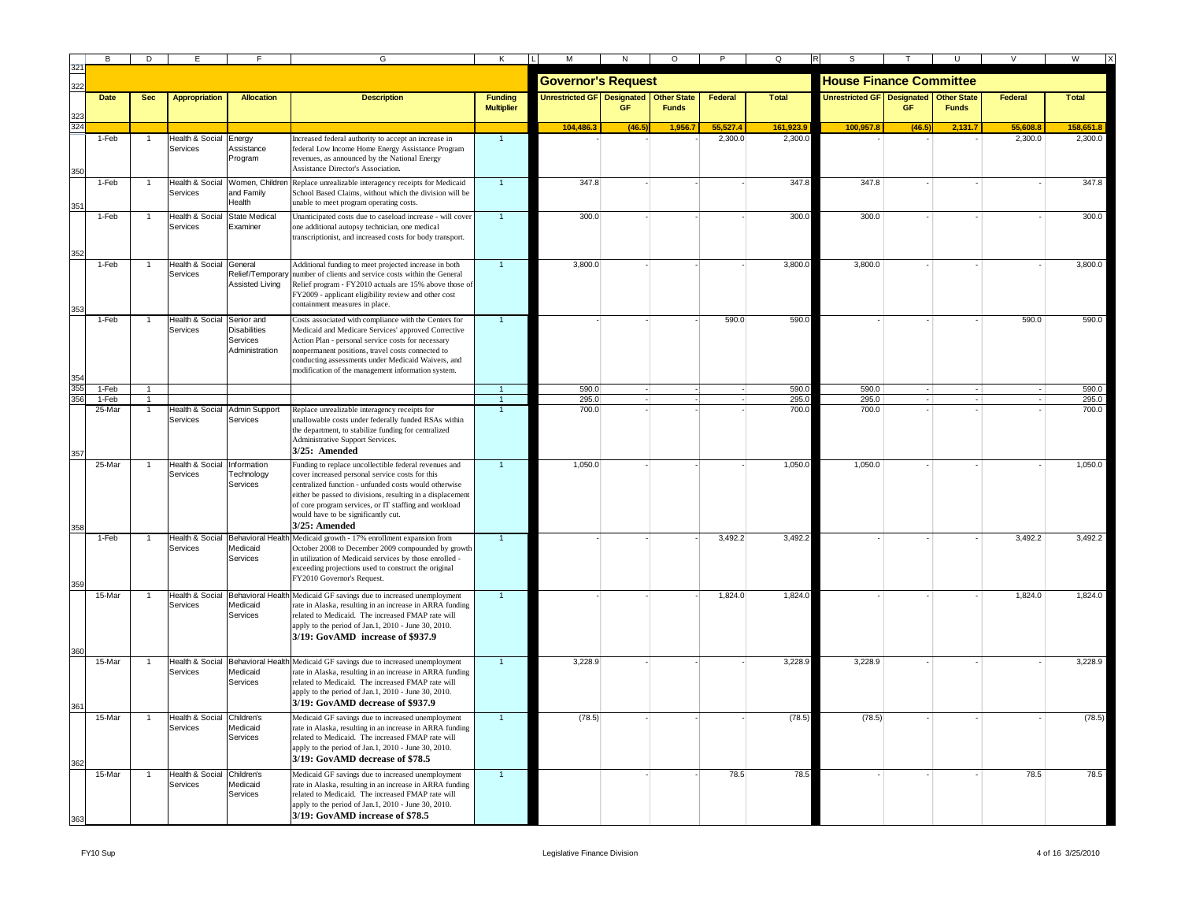|     | B           | D              | E                                      |                                                                 | G                                                                                                                                                                                                                                                                                                                                                | Κ                                   | $\mathsf{M}% _{T}=\mathsf{M}_{T}\!\left( a,b\right) ,\ \mathsf{M}_{T}=\mathsf{M}_{T}$ | N      | $\circ$                            | P        | $\Omega$     |                                     |        |                                    |         | W            |
|-----|-------------|----------------|----------------------------------------|-----------------------------------------------------------------|--------------------------------------------------------------------------------------------------------------------------------------------------------------------------------------------------------------------------------------------------------------------------------------------------------------------------------------------------|-------------------------------------|---------------------------------------------------------------------------------------|--------|------------------------------------|----------|--------------|-------------------------------------|--------|------------------------------------|---------|--------------|
|     |             |                |                                        |                                                                 |                                                                                                                                                                                                                                                                                                                                                  |                                     | <b>Governor's Request</b>                                                             |        |                                    |          |              | <b>House Finance Committee</b>      |        |                                    |         |              |
|     | <b>Date</b> | <b>Sec</b>     | <b>Appropriation</b>                   | <b>Allocation</b>                                               | <b>Description</b>                                                                                                                                                                                                                                                                                                                               | <b>Funding</b><br><b>Multiplier</b> | <b>Unrestricted GF Designated</b>                                                     |        | <b>Other State</b><br><b>Funds</b> | Federal  | <b>Total</b> | <b>Unrestricted GF   Designated</b> |        | <b>Other State</b><br><b>Funds</b> | Federal | <b>Total</b> |
|     |             |                |                                        |                                                                 |                                                                                                                                                                                                                                                                                                                                                  |                                     | 104,486.3                                                                             | (46.5) | 1,956.7                            | 55.527.4 | 161,923.9    | 100,957.8                           | (46.5) | 2,131.7                            | 55,608  | 158,651.8    |
|     | $1-Feb$     |                | lealth & Social<br>Services            | Energy<br>Assistance<br>rogram                                  | Increased federal authority to accept an increase in<br>federal Low Income Home Energy Assistance Program<br>revenues, as announced by the National Energy<br>Assistance Director's Association.                                                                                                                                                 | $\mathbf{1}$                        |                                                                                       |        |                                    | 2.300.0  | 2.300.       |                                     |        |                                    | 2.300.0 | 2,300.0      |
|     | 1-Feb       |                | Health & Social<br>Services            | and Family<br><b>Health</b>                                     | Women, Children Replace unrealizable interagency receipts for Medicaid<br>School Based Claims, without which the division will be<br>inable to meet program operating costs.                                                                                                                                                                     | $\overline{1}$                      | 347.8                                                                                 |        |                                    |          | 347.8        | 347.8                               |        |                                    |         | 347.8        |
|     | 1-Feb       |                | <b>Health &amp; Social</b><br>Services | <b>State Medical</b><br>Examiner                                | Unanticipated costs due to caseload increase - will cover<br>one additional autopsy technician, one medical<br>transcriptionist, and increased costs for body transport.                                                                                                                                                                         | $\mathbf{1}$                        | 300.0                                                                                 |        |                                    |          | 300.0        | 300.0                               |        |                                    |         | 300.0        |
|     | 1-Feb       |                | Health & Social General<br>Services    | Assisted Living                                                 | Additional funding to meet projected increase in both<br>Relief/Temporary number of clients and service costs within the General<br>Relief program - FY2010 actuals are 15% above those of<br>FY2009 - applicant eligibility review and other cost<br>containment measures in place.                                                             | $\overline{1}$                      | 3,800.0                                                                               |        |                                    |          | 3,800.0      | 3,800.0                             |        |                                    |         | 3,800.0      |
|     | 1-Feb       |                | Health & Social<br>Services            | Senior and<br><b>Disabilities</b><br>Services<br>Administration | Costs associated with compliance with the Centers for<br>Medicaid and Medicare Services' approved Corrective<br>Action Plan - personal service costs for necessary<br>nonpermanent positions, travel costs connected to<br>conducting assessments under Medicaid Waivers, and<br>modification of the management information system.              |                                     |                                                                                       |        |                                    | 590.0    | 590.0        |                                     |        |                                    | 590.0   | 590.0        |
|     | 1-Feb       |                |                                        |                                                                 |                                                                                                                                                                                                                                                                                                                                                  |                                     | 590.0                                                                                 |        |                                    |          | 590.0        | 590.0                               |        |                                    |         | 590.0        |
| 356 | 1-Feb       | $\overline{1}$ |                                        |                                                                 |                                                                                                                                                                                                                                                                                                                                                  | $\overline{1}$                      | 295.0                                                                                 |        |                                    |          | 295.0        | 295.0                               |        |                                    |         | 295.0        |
|     | 25-Mar      |                | <b>Health &amp; Social</b><br>Services | <b>Admin Support</b><br>Services                                | Replace unrealizable interagency receipts for<br>unallowable costs under federally funded RSAs within<br>the department, to stabilize funding for centralized<br>Administrative Support Services.<br>3/25: Amended                                                                                                                               |                                     | 700.0                                                                                 |        |                                    |          | 700.0        | 700.0                               |        |                                    |         | 700.0        |
|     | 25-Mar      |                | Health & Social<br>Services            | Information<br>Technology<br>Services                           | Funding to replace uncollectible federal revenues and<br>cover increased personal service costs for this<br>centralized function - unfunded costs would otherwise<br>either be passed to divisions, resulting in a displacement<br>of core program services, or IT staffing and workload<br>would have to be significantly cut.<br>3/25: Amended |                                     | 1,050.0                                                                               |        |                                    |          | 1,050.0      | 1.050.0                             |        |                                    |         | 1,050.0      |
|     | 1-Feb       |                | <b>Health &amp; Social</b><br>Services | Medicaid<br>Services                                            | Behavioral Health Medicaid growth - 17% enrollment expansion from<br>October 2008 to December 2009 compounded by growth<br>in utilization of Medicaid services by those enrolled -<br>exceeding projections used to construct the original<br>FY2010 Governor's Request.                                                                         |                                     |                                                                                       |        |                                    | 3,492.2  | 3,492.2      |                                     |        |                                    | 3,492.2 | 3,492.2      |
|     | 15-Mar      |                | Health & Social<br>Services            | Medicaid<br>Services                                            | Behavioral Health Medicaid GF savings due to increased unemployment<br>rate in Alaska, resulting in an increase in ARRA funding<br>related to Medicaid. The increased FMAP rate will<br>apply to the period of Jan.1, 2010 - June 30, 2010.<br>3/19: GovAMD increase of \$937.9                                                                  |                                     |                                                                                       |        |                                    | 1.824.0  | 1,824.0      |                                     |        |                                    | 1.824.0 | 1,824.0      |
|     | 15-Mar      |                | <b>Health &amp; Social</b><br>Services | Medicaid<br>Services                                            | Behavioral Health Medicaid GF savings due to increased unemployment<br>rate in Alaska, resulting in an increase in ARRA funding<br>related to Medicaid. The increased FMAP rate will<br>apply to the period of Jan.1, 2010 - June 30, 2010.<br>3/19: GovAMD decrease of \$937.9                                                                  | $\overline{1}$                      | 3,228.9                                                                               |        |                                    |          | 3,228.9      | 3,228.9                             |        |                                    |         | 3,228.9      |
|     | 15-Mar      |                | <b>Health &amp; Social</b><br>Services | Children's<br>Medicaid<br>Services                              | Medicaid GF savings due to increased unemployment<br>rate in Alaska, resulting in an increase in ARRA funding<br>related to Medicaid. The increased FMAP rate will<br>apply to the period of Jan.1, 2010 - June 30, 2010.<br>3/19: GovAMD decrease of \$78.5                                                                                     | $\overline{1}$                      | (78.5)                                                                                |        |                                    |          | (78.5)       | (78.5)                              |        |                                    |         | (78.5)       |
|     | 15-Mar      |                | Health & Social<br>Services            | Children's<br>Medicaid<br>Services                              | Medicaid GF savings due to increased unemployment<br>rate in Alaska, resulting in an increase in ARRA funding<br>related to Medicaid. The increased FMAP rate will<br>apply to the period of Jan.1, 2010 - June 30, 2010.<br>3/19: GovAMD increase of \$78.5                                                                                     | $\blacktriangleleft$                |                                                                                       |        |                                    | 78.5     | 78.5         |                                     |        |                                    | 78.5    | 78.5         |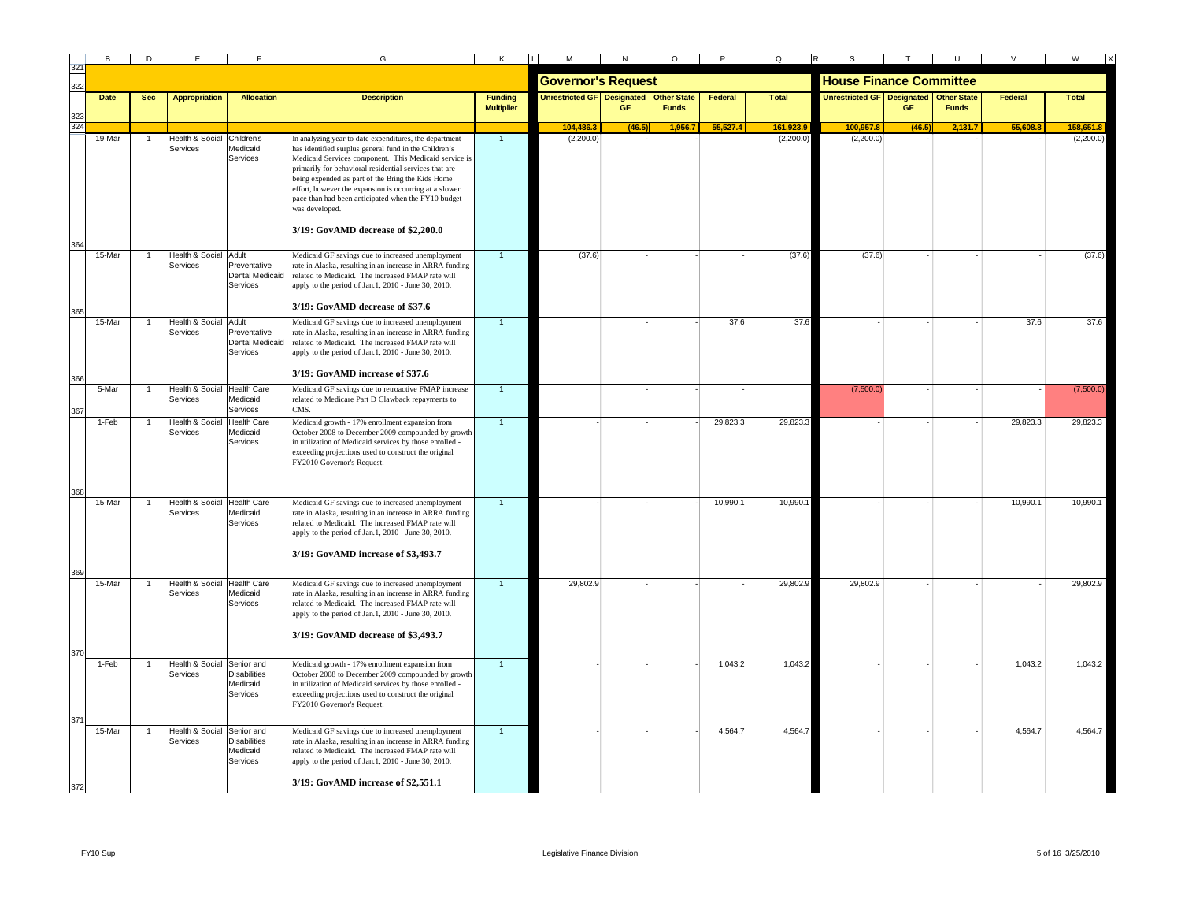|     | <b>B</b>    | D          |                                         |                                                           | G                                                                                                                                                                                                                                                                                                                                                                                                                                                                | К                                   | М                                          | N         | $\circ$      | P        | Q         | $\mathsf R$<br>S                           |        | -U           | V        | W            |
|-----|-------------|------------|-----------------------------------------|-----------------------------------------------------------|------------------------------------------------------------------------------------------------------------------------------------------------------------------------------------------------------------------------------------------------------------------------------------------------------------------------------------------------------------------------------------------------------------------------------------------------------------------|-------------------------------------|--------------------------------------------|-----------|--------------|----------|-----------|--------------------------------------------|--------|--------------|----------|--------------|
| 322 |             |            |                                         |                                                           |                                                                                                                                                                                                                                                                                                                                                                                                                                                                  |                                     | <b>Governor's Request</b>                  |           |              |          |           | <b>House Finance Committee</b>             |        |              |          |              |
|     | <b>Date</b> | <b>Sec</b> | <b>Appropriation</b>                    | <b>Allocation</b>                                         | <b>Description</b>                                                                                                                                                                                                                                                                                                                                                                                                                                               | <b>Funding</b><br><b>Multiplier</b> | Unrestricted GF   Designated   Other State | <b>GF</b> | <b>Funds</b> | Federal  | Total     | Unrestricted GF   Designated   Other State | GF     | <b>Funds</b> | Federal  | <b>Total</b> |
|     |             |            |                                         |                                                           |                                                                                                                                                                                                                                                                                                                                                                                                                                                                  |                                     | 104 486                                    | (46)      | 1.956.7      | 55 527 4 | 161,923.9 | 100.957.8                                  | (46.5) | 2.131.7      | 55,608.8 | 158.651.8    |
|     | 19-Mar      |            | Health & Social<br>Services             | Children's<br>Medicaid<br>Services                        | In analyzing year to date expenditures, the department<br>has identified surplus general fund in the Children's<br>Medicaid Services component. This Medicaid service is<br>primarily for behavioral residential services that are<br>being expended as part of the Bring the Kids Home<br>effort, however the expansion is occurring at a slower<br>pace than had been anticipated when the FY10 budget<br>was developed.<br>3/19: GovAMD decrease of \$2,200.0 | $\overline{1}$                      | (2,200.0)                                  |           |              |          | (2,200.0) | (2,200.0)                                  |        |              |          | (2,200.0)    |
| 365 | 15-Mar      |            | Health & Social Adult<br>Services       | Preventative<br><b>Dental Medicaid</b><br>Services        | Medicaid GF savings due to increased unemployment<br>rate in Alaska, resulting in an increase in ARRA funding<br>related to Medicaid. The increased FMAP rate will<br>apply to the period of Jan.1, 2010 - June 30, 2010.<br>3/19: GovAMD decrease of \$37.6                                                                                                                                                                                                     |                                     | (37.6)                                     |           |              |          | (37.6)    | (37.6)                                     |        |              |          | (37.6)       |
|     | 15-Mar      |            | Health & Social Adult<br>Services       | Preventative<br>Dental Medicaid<br>Services               | Medicaid GF savings due to increased unemployment<br>rate in Alaska, resulting in an increase in ARRA funding<br>related to Medicaid. The increased FMAP rate will<br>apply to the period of Jan.1, 2010 - June 30, 2010.<br>3/19: GovAMD increase of \$37.6                                                                                                                                                                                                     |                                     |                                            |           |              | 37.6     | 37.6      |                                            |        |              | 37.6     | 37.6         |
|     | 5-Mar       |            | Health & Social Health Care<br>Services | Medicaid<br>Services                                      | Medicaid GF savings due to retroactive FMAP increase<br>related to Medicare Part D Clawback repayments to<br>CMS.                                                                                                                                                                                                                                                                                                                                                | $\overline{1}$                      |                                            |           |              |          |           | (7,500.0)                                  |        |              |          | (7,500.0)    |
|     | 1-Feb       |            | Health & Social<br>Services             | <b>Health Care</b><br>Medicaid<br>Services                | Medicaid growth - 17% enrollment expansion from<br>October 2008 to December 2009 compounded by growth<br>in utilization of Medicaid services by those enrolled -<br>exceeding projections used to construct the original<br>FY2010 Governor's Request.                                                                                                                                                                                                           |                                     |                                            |           |              | 29,823.3 | 29,823.3  |                                            |        |              | 29,823.3 | 29,823.3     |
|     | 15-Mar      |            | Health & Social Health Care<br>Services | Medicaid<br>Services                                      | Medicaid GF savings due to increased unemployment<br>rate in Alaska, resulting in an increase in ARRA funding<br>related to Medicaid. The increased FMAP rate will<br>apply to the period of Jan.1, 2010 - June 30, 2010.<br>3/19: GovAMD increase of \$3,493.7                                                                                                                                                                                                  | $\overline{1}$                      |                                            |           |              | 10,990.1 | 10,990.1  |                                            |        |              | 10,990.1 | 10,990.1     |
|     | 15-Mar      |            | <b>Health &amp; Social</b><br>Services  | <b>Health Care</b><br>Medicaid<br>Services                | Medicaid GF savings due to increased unemployment<br>rate in Alaska, resulting in an increase in ARRA funding<br>related to Medicaid. The increased FMAP rate will<br>apply to the period of Jan.1, 2010 - June 30, 2010.<br>3/19: GovAMD decrease of \$3,493.7                                                                                                                                                                                                  |                                     | 29,802.9                                   |           |              |          | 29,802.9  | 29,802.9                                   |        |              |          | 29,802.9     |
|     | 1-Feb       |            | Health & Social Senior and<br>Services  | Disabilities<br>Medicaid<br>Services                      | Medicaid growth - 17% enrollment expansion from<br>October 2008 to December 2009 compounded by growth<br>in utilization of Medicaid services by those enrolled -<br>exceeding projections used to construct the original<br>FY2010 Governor's Request.                                                                                                                                                                                                           |                                     |                                            |           |              | 1,043.2  | 1,043.2   |                                            |        |              | 1,043.2  | 1,043.2      |
| 372 | 15-Mar      |            | Health & Social<br>Services             | Senior and<br><b>Disabilities</b><br>Medicaid<br>Services | Medicaid GF savings due to increased unemployment<br>rate in Alaska, resulting in an increase in ARRA funding<br>related to Medicaid. The increased FMAP rate will<br>apply to the period of Jan.1, 2010 - June 30, 2010.<br>3/19: GovAMD increase of \$2,551.1                                                                                                                                                                                                  | $\overline{1}$                      |                                            |           |              | 4,564.7  | 4,564.7   |                                            |        |              | 4,564.7  | 4,564.7      |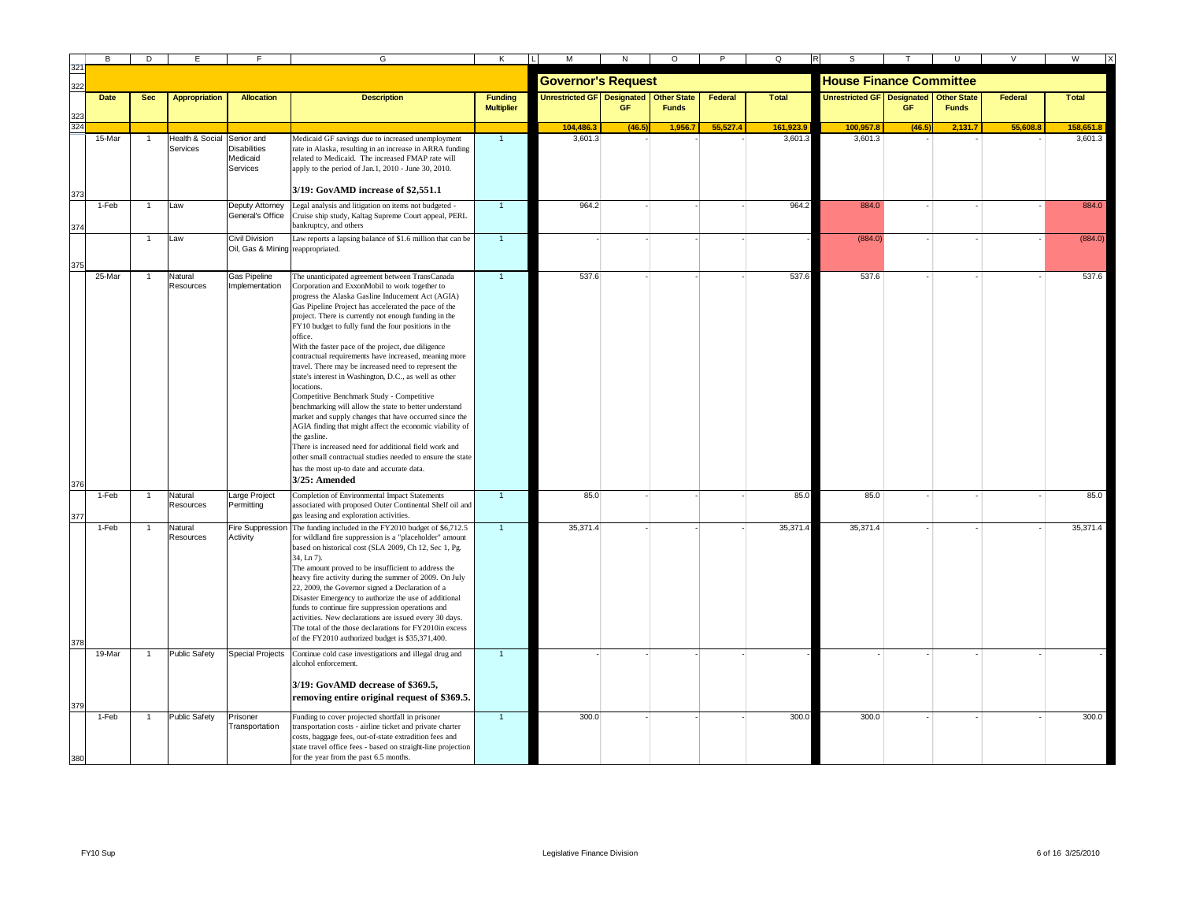|     | B           | D            |                             |                                                           | G                                                                                                                                                                                                                                                                                                                                                                                                                                                                                                                                                                                                                                                                                                                                                                                                                                                                                                                                                                                                                           | Κ                                   | М                                      | N         | $\circ$      |          | Q            | s                                          |           |              | $\vee$  | W            |
|-----|-------------|--------------|-----------------------------|-----------------------------------------------------------|-----------------------------------------------------------------------------------------------------------------------------------------------------------------------------------------------------------------------------------------------------------------------------------------------------------------------------------------------------------------------------------------------------------------------------------------------------------------------------------------------------------------------------------------------------------------------------------------------------------------------------------------------------------------------------------------------------------------------------------------------------------------------------------------------------------------------------------------------------------------------------------------------------------------------------------------------------------------------------------------------------------------------------|-------------------------------------|----------------------------------------|-----------|--------------|----------|--------------|--------------------------------------------|-----------|--------------|---------|--------------|
| 322 |             |              |                             |                                                           |                                                                                                                                                                                                                                                                                                                                                                                                                                                                                                                                                                                                                                                                                                                                                                                                                                                                                                                                                                                                                             |                                     | <b>Governor's Request</b>              |           |              |          |              | <b>House Finance Committee</b>             |           |              |         |              |
|     | <b>Date</b> | <b>Sec</b>   | <b>Appropriation</b>        | <b>Allocation</b>                                         | <b>Description</b>                                                                                                                                                                                                                                                                                                                                                                                                                                                                                                                                                                                                                                                                                                                                                                                                                                                                                                                                                                                                          | <b>Funding</b><br><b>Multiplier</b> | Unrestricted GF Designated Other State | <b>GF</b> | <b>Funds</b> | Federal  | <b>Total</b> | Unrestricted GF   Designated   Other State | <b>GF</b> | <b>Funds</b> | Federal | <b>Total</b> |
| 32  |             |              |                             |                                                           |                                                                                                                                                                                                                                                                                                                                                                                                                                                                                                                                                                                                                                                                                                                                                                                                                                                                                                                                                                                                                             |                                     | 104,486.3                              | (46.5)    | 1,956.7      | 55,527.4 | 161,923.9    | 100,957.                                   | (46.5)    | 2,131.7      | 55,608. | 158,651.8    |
|     | 15-Mar      |              | Health & Social<br>Services | Senior and<br><b>Disabilities</b><br>Medicaid<br>Services | Medicaid GF savings due to increased unemployment<br>rate in Alaska, resulting in an increase in ARRA funding<br>related to Medicaid. The increased FMAP rate will<br>apply to the period of Jan.1, 2010 - June 30, 2010.<br>3/19: GovAMD increase of \$2,551.1                                                                                                                                                                                                                                                                                                                                                                                                                                                                                                                                                                                                                                                                                                                                                             | $\overline{1}$                      | 3.601.3                                |           |              |          | 3.601.3      | 3,601.3                                    |           |              |         | 3,601.3      |
|     | 1-Feb       |              | Law                         | Deputy Attorney                                           | Legal analysis and litigation on items not budgeted -                                                                                                                                                                                                                                                                                                                                                                                                                                                                                                                                                                                                                                                                                                                                                                                                                                                                                                                                                                       |                                     | 964.2                                  |           |              |          | 964.2        | 884.0                                      |           |              |         | 884.0        |
|     |             |              |                             | General's Office                                          | Cruise ship study, Kaltag Supreme Court appeal, PERL<br>bankruptcy, and others                                                                                                                                                                                                                                                                                                                                                                                                                                                                                                                                                                                                                                                                                                                                                                                                                                                                                                                                              |                                     |                                        |           |              |          |              |                                            |           |              |         |              |
|     |             | $\mathbf{1}$ | Law                         | Civil Division<br>Oil, Gas & Mining reappropriated.       | Law reports a lapsing balance of \$1.6 million that can be                                                                                                                                                                                                                                                                                                                                                                                                                                                                                                                                                                                                                                                                                                                                                                                                                                                                                                                                                                  | $\mathbf{1}$                        |                                        |           |              |          |              | (884.0)                                    |           |              |         | (884.0)      |
|     | 25-Mar      |              | Natural<br>Resources        | Gas Pipeline<br>mplementation                             | The unanticipated agreement between TransCanada<br>Corporation and ExxonMobil to work together to<br>progress the Alaska Gasline Inducement Act (AGIA)<br>Gas Pipeline Project has accelerated the pace of the<br>project. There is currently not enough funding in the<br>FY10 budget to fully fund the four positions in the<br>office.<br>With the faster pace of the project, due diligence<br>contractual requirements have increased, meaning more<br>travel. There may be increased need to represent the<br>state's interest in Washington, D.C., as well as other<br>locations.<br>Competitive Benchmark Study - Competitive<br>benchmarking will allow the state to better understand<br>market and supply changes that have occurred since the<br>AGIA finding that might affect the economic viability of<br>the gasline.<br>There is increased need for additional field work and<br>other small contractual studies needed to ensure the state<br>has the most up-to date and accurate data.<br>3/25: Amended | $\overline{1}$                      | 537.6                                  |           |              |          | 537.6        | 537.6                                      |           |              |         | 537.6        |
|     | 1-Feb       |              | Natural<br>Resources        | arge Project<br>Permittina                                | Completion of Environmental Impact Statements<br>associated with proposed Outer Continental Shelf oil and<br>gas leasing and exploration activities.                                                                                                                                                                                                                                                                                                                                                                                                                                                                                                                                                                                                                                                                                                                                                                                                                                                                        | $\overline{1}$                      | 85.0                                   |           |              |          | 85.0         | 85.0                                       |           |              |         | 85.0         |
|     | 1-Feb       |              | Natural<br>Resources        | Fire Suppression<br>Activity                              | The funding included in the FY2010 budget of \$6,712.5<br>for wildland fire suppression is a "placeholder" amount<br>based on historical cost (SLA 2009, Ch 12, Sec 1, Pg.<br>34, Ln 7).<br>The amount proved to be insufficient to address the<br>heavy fire activity during the summer of 2009. On July<br>22, 2009, the Governor signed a Declaration of a<br>Disaster Emergency to authorize the use of additional<br>funds to continue fire suppression operations and<br>activities. New declarations are issued every 30 days.<br>The total of the those declarations for FY2010in excess<br>of the FY2010 authorized budget is \$35,371,400.                                                                                                                                                                                                                                                                                                                                                                        |                                     | 35,371.4                               |           |              |          | 35,371.4     | 35,371.4                                   |           |              |         | 35,371.4     |
|     | 19-Mar      |              | Public Safety               | <b>Special Projects</b>                                   | Continue cold case investigations and illegal drug and                                                                                                                                                                                                                                                                                                                                                                                                                                                                                                                                                                                                                                                                                                                                                                                                                                                                                                                                                                      |                                     |                                        |           |              |          |              |                                            |           |              |         |              |
| 379 |             |              |                             |                                                           | alcohol enforcement.<br>3/19: GovAMD decrease of \$369.5,<br>removing entire original request of \$369.5.                                                                                                                                                                                                                                                                                                                                                                                                                                                                                                                                                                                                                                                                                                                                                                                                                                                                                                                   |                                     |                                        |           |              |          |              |                                            |           |              |         |              |
| 380 | 1-Feb       |              | <b>Public Safety</b>        | Prisoner<br>Transportation                                | Funding to cover projected shortfall in prisoner<br>ransportation costs - airline ticket and private charter<br>costs, baggage fees, out-of-state extradition fees and<br>state travel office fees - based on straight-line projection<br>for the year from the past 6.5 months.                                                                                                                                                                                                                                                                                                                                                                                                                                                                                                                                                                                                                                                                                                                                            |                                     | 300.0                                  |           |              |          | 300.0        | 300.0                                      |           |              |         | 300.0        |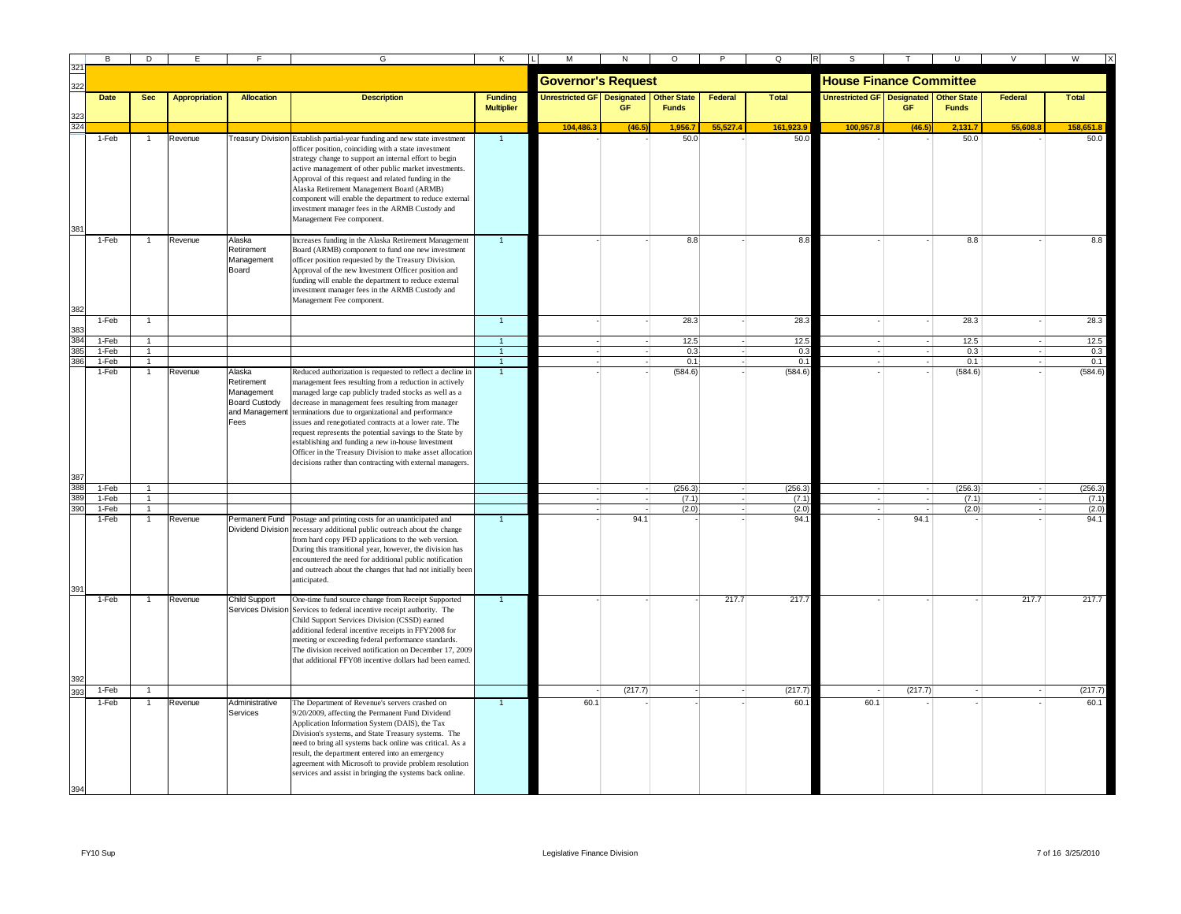|            | B <sub>1</sub> | D              |                      |                                    | G                                                                                                                                             | Κ                              | М                                 |         | $\circ$            | P        | Q            |                                        |         |              |          | W            |
|------------|----------------|----------------|----------------------|------------------------------------|-----------------------------------------------------------------------------------------------------------------------------------------------|--------------------------------|-----------------------------------|---------|--------------------|----------|--------------|----------------------------------------|---------|--------------|----------|--------------|
| 322        |                |                |                      |                                    |                                                                                                                                               |                                | <b>Governor's Request</b>         |         |                    |          |              | <b>House Finance Committee</b>         |         |              |          |              |
|            | <b>Date</b>    | <b>Sec</b>     | <b>Appropriation</b> | <b>Allocation</b>                  | <b>Description</b>                                                                                                                            | <b>Funding</b>                 | <b>Unrestricted GF Designated</b> |         | <b>Other State</b> | Federal  | <b>Total</b> | Unrestricted GF Designated Other State |         |              | Federal  | <b>Total</b> |
|            |                |                |                      |                                    |                                                                                                                                               | <b>Multiplier</b>              |                                   | GF      | <b>Funds</b>       |          |              |                                        | GE      | <b>Funds</b> |          |              |
|            |                |                |                      |                                    |                                                                                                                                               |                                | 104.486.3                         | (46.5)  | 1,956.7            | 55.527.4 | 161.923.9    | 100.957.8                              | (46.5)  | 2.131.7      | 55.608.8 | 158,651.8    |
|            | 1-Feb          |                | Revenue              |                                    | Treasury Division Establish partial-year funding and new state investment<br>officer position, coinciding with a state investment             | $\overline{1}$                 |                                   |         | 50.0               |          | 50.0         |                                        |         | 50.0         |          | 50.0         |
|            |                |                |                      |                                    | strategy change to support an internal effort to begin                                                                                        |                                |                                   |         |                    |          |              |                                        |         |              |          |              |
|            |                |                |                      |                                    | active management of other public market investments.                                                                                         |                                |                                   |         |                    |          |              |                                        |         |              |          |              |
|            |                |                |                      |                                    | Approval of this request and related funding in the<br>Alaska Retirement Management Board (ARMB)                                              |                                |                                   |         |                    |          |              |                                        |         |              |          |              |
|            |                |                |                      |                                    | component will enable the department to reduce external                                                                                       |                                |                                   |         |                    |          |              |                                        |         |              |          |              |
|            |                |                |                      |                                    | investment manager fees in the ARMB Custody and                                                                                               |                                |                                   |         |                    |          |              |                                        |         |              |          |              |
|            |                |                |                      |                                    | Management Fee component.                                                                                                                     |                                |                                   |         |                    |          |              |                                        |         |              |          |              |
|            | 1-Feb          |                | Revenue              | Alaska                             | Increases funding in the Alaska Retirement Management                                                                                         |                                |                                   |         | 8.8                |          | 8.8          |                                        |         | 8.8          |          | 8.8          |
|            |                |                |                      | Retirement                         | Board (ARMB) component to fund one new investment                                                                                             |                                |                                   |         |                    |          |              |                                        |         |              |          |              |
|            |                |                |                      | Management<br>Board                | officer position requested by the Treasury Division.<br>Approval of the new Investment Officer position and                                   |                                |                                   |         |                    |          |              |                                        |         |              |          |              |
|            |                |                |                      |                                    | funding will enable the department to reduce external                                                                                         |                                |                                   |         |                    |          |              |                                        |         |              |          |              |
|            |                |                |                      |                                    | investment manager fees in the ARMB Custody and<br>Management Fee component.                                                                  |                                |                                   |         |                    |          |              |                                        |         |              |          |              |
|            |                |                |                      |                                    |                                                                                                                                               |                                |                                   |         |                    |          |              |                                        |         |              |          |              |
|            | 1-Feb          |                |                      |                                    |                                                                                                                                               | $\blacktriangleleft$           |                                   |         | 28.3               |          | 28.3         |                                        |         | 28.3         |          | 28.3         |
|            | 1-Feb          |                |                      |                                    |                                                                                                                                               | $\overline{1}$                 |                                   |         | 12.5               |          | 12.5         | н.                                     | ۰.      | 12.5         | $\sim$   | 12.5         |
| 385<br>38  | 1-Feb<br>1-Feb |                |                      |                                    |                                                                                                                                               | $\mathbf{1}$<br>$\overline{1}$ |                                   |         | 0.3<br>0.1         |          | 0.3<br>0.1   | $-1$                                   |         | 0.3<br>0.1   |          | 0.3<br>0.1   |
|            | 1-Feb          |                | Revenue              | Alaska                             | Reduced authorization is requested to reflect a decline in                                                                                    |                                |                                   |         | (584.6)            |          | (584.6)      |                                        |         | (584.6)      |          | (584.6)      |
|            |                |                |                      | Retirement                         | management fees resulting from a reduction in actively                                                                                        |                                |                                   |         |                    |          |              |                                        |         |              |          |              |
|            |                |                |                      | Management<br><b>Board Custody</b> | managed large cap publicly traded stocks as well as a<br>decrease in management fees resulting from manager                                   |                                |                                   |         |                    |          |              |                                        |         |              |          |              |
|            |                |                |                      |                                    | and Management terminations due to organizational and performance                                                                             |                                |                                   |         |                    |          |              |                                        |         |              |          |              |
|            |                |                |                      | Fees                               | issues and renegotiated contracts at a lower rate. The                                                                                        |                                |                                   |         |                    |          |              |                                        |         |              |          |              |
|            |                |                |                      |                                    | request represents the potential savings to the State by<br>establishing and funding a new in-house Investment                                |                                |                                   |         |                    |          |              |                                        |         |              |          |              |
|            |                |                |                      |                                    | Officer in the Treasury Division to make asset allocation                                                                                     |                                |                                   |         |                    |          |              |                                        |         |              |          |              |
|            |                |                |                      |                                    | decisions rather than contracting with external managers.                                                                                     |                                |                                   |         |                    |          |              |                                        |         |              |          |              |
| 387<br>388 | $1-Feb$        |                |                      |                                    |                                                                                                                                               |                                |                                   |         | (256.3)            |          | (256.3)      | $\sim$                                 |         | (256.3)      |          | (256.3)      |
| 38         | 1-Feb          |                |                      |                                    |                                                                                                                                               |                                |                                   |         | (7.1)              |          | (7.1)        | $\epsilon$                             |         | (7.1)        |          | (7.1)        |
| 390        | 1-Feb          | $\overline{1}$ |                      |                                    |                                                                                                                                               |                                |                                   |         | (2.0)              |          | (2.0)        |                                        |         | (2.0)        |          | (2.0)        |
|            | 1-Feb          |                | Revenue              |                                    | Permanent Fund Postage and printing costs for an unanticipated and<br>Dividend Division necessary additional public outreach about the change |                                |                                   | 94.1    |                    |          | 94.          |                                        | 94.1    |              |          | 94.1         |
|            |                |                |                      |                                    | from hard copy PFD applications to the web version.                                                                                           |                                |                                   |         |                    |          |              |                                        |         |              |          |              |
|            |                |                |                      |                                    | During this transitional year, however, the division has                                                                                      |                                |                                   |         |                    |          |              |                                        |         |              |          |              |
|            |                |                |                      |                                    | encountered the need for additional public notification                                                                                       |                                |                                   |         |                    |          |              |                                        |         |              |          |              |
|            |                |                |                      |                                    | and outreach about the changes that had not initially been<br>anticipated.                                                                    |                                |                                   |         |                    |          |              |                                        |         |              |          |              |
|            |                |                |                      |                                    |                                                                                                                                               |                                |                                   |         |                    |          |              |                                        |         |              |          |              |
|            | 1-Feb          |                | Revenue              | <b>Child Support</b>               | One-time fund source change from Receipt Supported<br>Services Division Services to federal incentive receipt authority. The                  |                                |                                   |         |                    | 217.7    | 217.7        |                                        |         |              | 217.7    | 217.7        |
|            |                |                |                      |                                    | Child Support Services Division (CSSD) earned                                                                                                 |                                |                                   |         |                    |          |              |                                        |         |              |          |              |
|            |                |                |                      |                                    | additional federal incentive receipts in FFY2008 for                                                                                          |                                |                                   |         |                    |          |              |                                        |         |              |          |              |
|            |                |                |                      |                                    | meeting or exceeding federal performance standards.<br>The division received notification on December 17, 2009                                |                                |                                   |         |                    |          |              |                                        |         |              |          |              |
|            |                |                |                      |                                    | that additional FFY08 incentive dollars had been earned.                                                                                      |                                |                                   |         |                    |          |              |                                        |         |              |          |              |
|            |                |                |                      |                                    |                                                                                                                                               |                                |                                   |         |                    |          |              |                                        |         |              |          |              |
|            | 1-Feb          |                |                      |                                    |                                                                                                                                               |                                |                                   | (217.7) |                    |          | (217.7)      |                                        | (217.7) |              |          | (217.7)      |
|            | 1-Feb          |                | Revenue              | Administrative                     | The Department of Revenue's servers crashed on                                                                                                |                                | 60.1                              |         |                    |          | 60.          | 60.1                                   |         |              |          | 60.1         |
|            |                |                |                      | Services                           | 9/20/2009, affecting the Permanent Fund Dividend<br>Application Information System (DAIS), the Tax                                            |                                |                                   |         |                    |          |              |                                        |         |              |          |              |
|            |                |                |                      |                                    | Division's systems, and State Treasury systems. The                                                                                           |                                |                                   |         |                    |          |              |                                        |         |              |          |              |
|            |                |                |                      |                                    | need to bring all systems back online was critical. As a                                                                                      |                                |                                   |         |                    |          |              |                                        |         |              |          |              |
|            |                |                |                      |                                    | result, the department entered into an emergency<br>agreement with Microsoft to provide problem resolution                                    |                                |                                   |         |                    |          |              |                                        |         |              |          |              |
|            |                |                |                      |                                    | services and assist in bringing the systems back online.                                                                                      |                                |                                   |         |                    |          |              |                                        |         |              |          |              |
|            |                |                |                      |                                    |                                                                                                                                               |                                |                                   |         |                    |          |              |                                        |         |              |          |              |
|            |                |                |                      |                                    |                                                                                                                                               |                                |                                   |         |                    |          |              |                                        |         |              |          |              |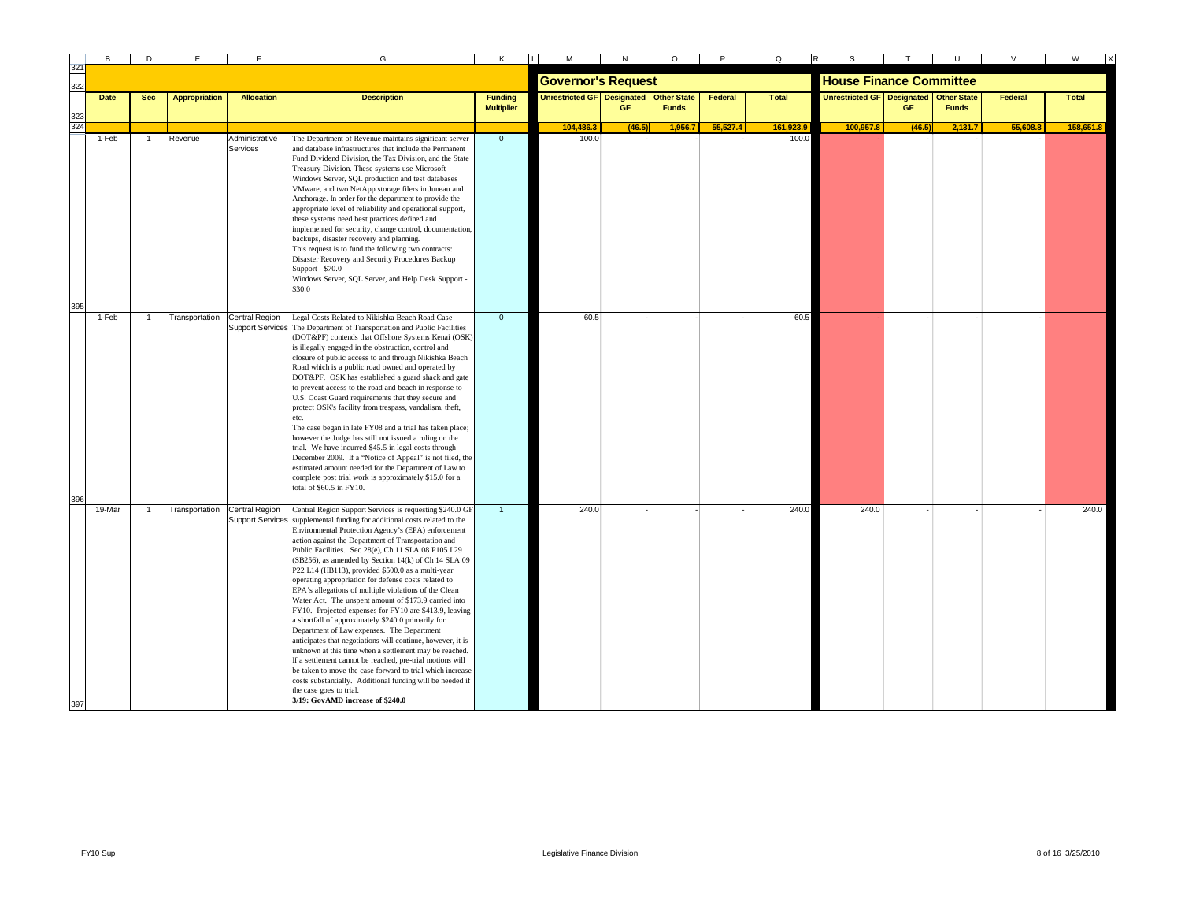|     | B           | D          | Е                    |                                   | G                                                                                                                                                                                                                                                                                                                                                                                                                                                                                                                                                                                                                                                                                                                                                                                                                                                                                                                                                                                                                                                                                                                                              | κ                                   | М                                      | N    | $\circ$      | P        | Q            | s                                 |           | U                                  | $\vee$  | W            |
|-----|-------------|------------|----------------------|-----------------------------------|------------------------------------------------------------------------------------------------------------------------------------------------------------------------------------------------------------------------------------------------------------------------------------------------------------------------------------------------------------------------------------------------------------------------------------------------------------------------------------------------------------------------------------------------------------------------------------------------------------------------------------------------------------------------------------------------------------------------------------------------------------------------------------------------------------------------------------------------------------------------------------------------------------------------------------------------------------------------------------------------------------------------------------------------------------------------------------------------------------------------------------------------|-------------------------------------|----------------------------------------|------|--------------|----------|--------------|-----------------------------------|-----------|------------------------------------|---------|--------------|
| 322 |             |            |                      |                                   |                                                                                                                                                                                                                                                                                                                                                                                                                                                                                                                                                                                                                                                                                                                                                                                                                                                                                                                                                                                                                                                                                                                                                |                                     | <b>Governor's Request</b>              |      |              |          |              | <b>House Finance Committee</b>    |           |                                    |         |              |
|     | <b>Date</b> | <b>Sec</b> | <b>Appropriation</b> | <b>Allocation</b>                 | <b>Description</b>                                                                                                                                                                                                                                                                                                                                                                                                                                                                                                                                                                                                                                                                                                                                                                                                                                                                                                                                                                                                                                                                                                                             | <b>Funding</b><br><b>Multiplier</b> | Unrestricted GF Designated Other State | GF   | <b>Funds</b> | Federal  | <b>Total</b> | <b>Unrestricted GF Designated</b> | <b>GF</b> | <b>Other State</b><br><b>Funds</b> | Federal | <b>Total</b> |
| 324 |             |            |                      |                                   |                                                                                                                                                                                                                                                                                                                                                                                                                                                                                                                                                                                                                                                                                                                                                                                                                                                                                                                                                                                                                                                                                                                                                |                                     | 104,486.                               | (46) | 1,956.7      | 55.527.4 | 161.923.     | 100.957.8                         | (46.5)    | 2,131.                             | 55.608. | 158,651.8    |
|     | 1-Feb       | -1         | Revenue              | Administrative<br><b>Services</b> | The Department of Revenue maintains significant server<br>and database infrastructures that include the Permanent<br>Fund Dividend Division, the Tax Division, and the State<br>Treasury Division. These systems use Microsoft<br>Windows Server, SQL production and test databases<br>VMware, and two NetApp storage filers in Juneau and<br>Anchorage. In order for the department to provide the<br>appropriate level of reliability and operational support,<br>these systems need best practices defined and<br>implemented for security, change control, documentation,<br>backups, disaster recovery and planning.<br>This request is to fund the following two contracts:<br>Disaster Recovery and Security Procedures Backup<br>Support - \$70.0<br>Windows Server, SQL Server, and Help Desk Support -<br>\$30.0                                                                                                                                                                                                                                                                                                                     | $\overline{0}$                      | 100.0                                  |      |              |          | 100.0        |                                   |           |                                    |         |              |
|     |             |            |                      |                                   |                                                                                                                                                                                                                                                                                                                                                                                                                                                                                                                                                                                                                                                                                                                                                                                                                                                                                                                                                                                                                                                                                                                                                |                                     |                                        |      |              |          |              |                                   |           |                                    |         |              |
|     | 1-Feb       |            | Transportation       | Central Region                    | Legal Costs Related to Nikishka Beach Road Case<br>Support Services The Department of Transportation and Public Facilities<br>(DOT&PF) contends that Offshore Systems Kenai (OSK)<br>is illegally engaged in the obstruction, control and<br>closure of public access to and through Nikishka Beach<br>Road which is a public road owned and operated by<br>DOT&PF. OSK has established a guard shack and gate<br>to prevent access to the road and beach in response to<br>U.S. Coast Guard requirements that they secure and<br>protect OSK's facility from trespass, vandalism, theft,<br>etc.<br>The case began in late FY08 and a trial has taken place;<br>however the Judge has still not issued a ruling on the<br>trial. We have incurred \$45.5 in legal costs through<br>December 2009. If a "Notice of Appeal" is not filed, the<br>estimated amount needed for the Department of Law to<br>complete post trial work is approximately \$15.0 for a<br>total of \$60.5 in FY10.                                                                                                                                                     | $\mathbf{0}$                        | 60.5                                   |      |              |          | 60.5         |                                   |           |                                    |         |              |
|     | 19-Mar      |            | Transportation       | Central Region                    | Central Region Support Services is requesting \$240.0 GI<br>Support Services supplemental funding for additional costs related to the<br>Environmental Protection Agency's (EPA) enforcement<br>action against the Department of Transportation and<br>Public Facilities. Sec 28(e), Ch 11 SLA 08 P105 L29<br>(SB256), as amended by Section 14(k) of Ch 14 SLA 09<br>P22 L14 (HB113), provided \$500.0 as a multi-year<br>operating appropriation for defense costs related to<br>EPA's allegations of multiple violations of the Clean<br>Water Act. The unspent amount of \$173.9 carried into<br>FY10. Projected expenses for FY10 are \$413.9, leaving<br>a shortfall of approximately \$240.0 primarily for<br>Department of Law expenses. The Department<br>anticipates that negotiations will continue, however, it is<br>unknown at this time when a settlement may be reached.<br>If a settlement cannot be reached, pre-trial motions will<br>be taken to move the case forward to trial which increase<br>costs substantially. Additional funding will be needed if<br>the case goes to trial.<br>3/19: GovAMD increase of \$240.0 | $\overline{1}$                      | 240.0                                  |      |              |          | 240.0        | 240.0                             |           |                                    |         | 240.0        |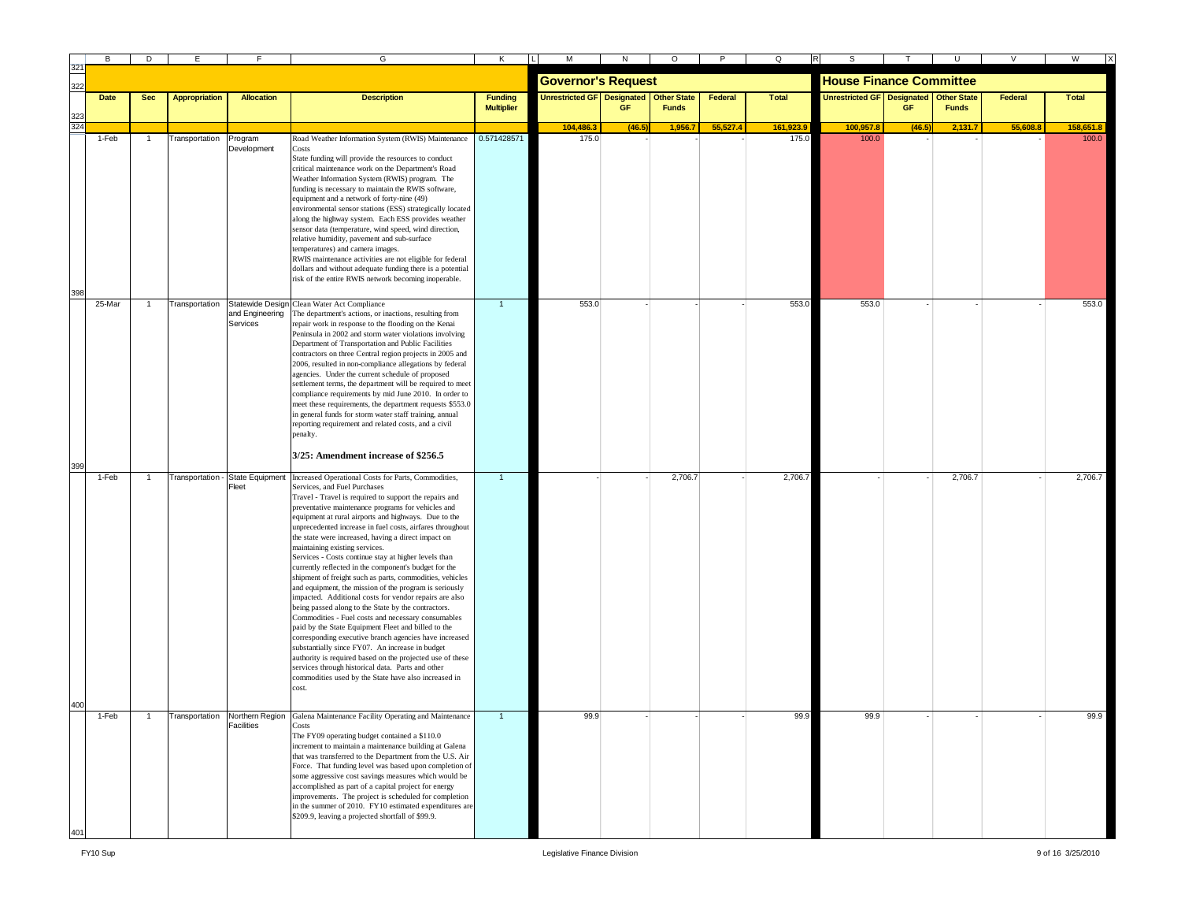|     | в      | D              |                      |                                 | G                                                                                                                                                                                                                                                                                                                                                                                                                                                                                                                                                                                                                                                                                                                                                                                                                                                                                                                                                                                                                                                                                                                                                                                      | Κ                                   |                                          |           | O            |          | Q            |                                        |        |              |          | W            |
|-----|--------|----------------|----------------------|---------------------------------|----------------------------------------------------------------------------------------------------------------------------------------------------------------------------------------------------------------------------------------------------------------------------------------------------------------------------------------------------------------------------------------------------------------------------------------------------------------------------------------------------------------------------------------------------------------------------------------------------------------------------------------------------------------------------------------------------------------------------------------------------------------------------------------------------------------------------------------------------------------------------------------------------------------------------------------------------------------------------------------------------------------------------------------------------------------------------------------------------------------------------------------------------------------------------------------|-------------------------------------|------------------------------------------|-----------|--------------|----------|--------------|----------------------------------------|--------|--------------|----------|--------------|
|     |        |                |                      |                                 |                                                                                                                                                                                                                                                                                                                                                                                                                                                                                                                                                                                                                                                                                                                                                                                                                                                                                                                                                                                                                                                                                                                                                                                        |                                     | <b>Governor's Request</b>                |           |              |          |              | <b>House Finance Committee</b>         |        |              |          |              |
|     | Date   | <b>Sec</b>     | <b>Appropriation</b> | <b>Allocation</b>               | <b>Description</b>                                                                                                                                                                                                                                                                                                                                                                                                                                                                                                                                                                                                                                                                                                                                                                                                                                                                                                                                                                                                                                                                                                                                                                     | <b>Funding</b><br><b>Multiplier</b> | Unrestricted GF Designated   Other State | <b>GF</b> | <b>Funds</b> | Federal  | <b>Total</b> | Unrestricted GF Designated Other State | GF     | <b>Funds</b> | Federal  | <b>Total</b> |
| 324 |        |                |                      |                                 |                                                                                                                                                                                                                                                                                                                                                                                                                                                                                                                                                                                                                                                                                                                                                                                                                                                                                                                                                                                                                                                                                                                                                                                        |                                     | 104,486.3                                | (46.5)    | 1,956.7      | 55,527.4 | 161,923.9    | 100,957.8                              | (46.5) | 2,131.7      | 55,608.8 | 158,651.8    |
|     | 1-Feb  | $\overline{1}$ | Transportation       | Program<br>Development          | Road Weather Information System (RWIS) Maintenance<br>Costs<br>State funding will provide the resources to conduct<br>critical maintenance work on the Department's Road<br>Weather Information System (RWIS) program. The<br>funding is necessary to maintain the RWIS software,<br>equipment and a network of forty-nine (49)<br>environmental sensor stations (ESS) strategically located<br>along the highway system. Each ESS provides weather<br>sensor data (temperature, wind speed, wind direction,<br>relative humidity, pavement and sub-surface<br>temperatures) and camera images.<br>RWIS maintenance activities are not eligible for federal                                                                                                                                                                                                                                                                                                                                                                                                                                                                                                                            | 0.571428571                         | 175.0                                    |           |              |          | 175.0        | 100.0                                  |        |              |          | 100.0        |
|     |        |                |                      |                                 | dollars and without adequate funding there is a potential                                                                                                                                                                                                                                                                                                                                                                                                                                                                                                                                                                                                                                                                                                                                                                                                                                                                                                                                                                                                                                                                                                                              |                                     |                                          |           |              |          |              |                                        |        |              |          |              |
|     |        |                |                      |                                 | risk of the entire RWIS network becoming inoperable.                                                                                                                                                                                                                                                                                                                                                                                                                                                                                                                                                                                                                                                                                                                                                                                                                                                                                                                                                                                                                                                                                                                                   |                                     |                                          |           |              |          |              |                                        |        |              |          |              |
|     | 25-Mar |                | Transportation       | and Engineering<br>Services     | Statewide Design Clean Water Act Compliance<br>The department's actions, or inactions, resulting from<br>repair work in response to the flooding on the Kenai<br>Peninsula in 2002 and storm water violations involving<br>Department of Transportation and Public Facilities<br>contractors on three Central region projects in 2005 and<br>2006, resulted in non-compliance allegations by federal<br>agencies. Under the current schedule of proposed<br>settlement terms, the department will be required to meet<br>compliance requirements by mid June 2010. In order to<br>meet these requirements, the department requests \$553.0<br>in general funds for storm water staff training, annual<br>reporting requirement and related costs, and a civil<br>penalty.                                                                                                                                                                                                                                                                                                                                                                                                              | $\overline{1}$                      | 553.0                                    |           |              |          | 553.C        | 553.0                                  |        |              |          | 553.0        |
| 399 |        |                |                      |                                 | 3/25: Amendment increase of \$256.5                                                                                                                                                                                                                                                                                                                                                                                                                                                                                                                                                                                                                                                                                                                                                                                                                                                                                                                                                                                                                                                                                                                                                    |                                     |                                          |           |              |          |              |                                        |        |              |          |              |
|     | 1-Feb  | -1             | Transportation -     | <b>State Equipment</b><br>Fleet | Increased Operational Costs for Parts, Commodities,<br>Services, and Fuel Purchases<br>Travel - Travel is required to support the repairs and<br>preventative maintenance programs for vehicles and<br>equipment at rural airports and highways. Due to the<br>unprecedented increase in fuel costs, airfares throughout<br>the state were increased, having a direct impact on<br>maintaining existing services.<br>Services - Costs continue stay at higher levels than<br>currently reflected in the component's budget for the<br>shipment of freight such as parts, commodities, vehicles<br>and equipment, the mission of the program is seriously<br>impacted. Additional costs for vendor repairs are also<br>being passed along to the State by the contractors.<br>Commodities - Fuel costs and necessary consumables<br>paid by the State Equipment Fleet and billed to the<br>corresponding executive branch agencies have increased<br>substantially since FY07. An increase in budget<br>authority is required based on the projected use of these<br>services through historical data. Parts and other<br>commodities used by the State have also increased in<br>cost. | $\mathbf{1}$                        |                                          |           | 2,706.7      |          | 2,706.7      |                                        |        | 2,706.7      |          | 2,706.7      |
|     |        |                |                      |                                 |                                                                                                                                                                                                                                                                                                                                                                                                                                                                                                                                                                                                                                                                                                                                                                                                                                                                                                                                                                                                                                                                                                                                                                                        |                                     |                                          |           |              |          |              |                                        |        |              |          |              |
|     | 1-Feb  |                | Transportation       | Facilities                      | Northern Region Galena Maintenance Facility Operating and Maintenance<br>Costs<br>The FY09 operating budget contained a \$110.0<br>increment to maintain a maintenance building at Galena<br>that was transferred to the Department from the U.S. Air<br>Force. That funding level was based upon completion of<br>some aggressive cost savings measures which would be<br>accomplished as part of a capital project for energy<br>improvements. The project is scheduled for completion<br>in the summer of 2010. FY10 estimated expenditures are<br>\$209.9, leaving a projected shortfall of \$99.9.                                                                                                                                                                                                                                                                                                                                                                                                                                                                                                                                                                                |                                     | 99.9                                     |           |              |          | 99.9         | 99.9                                   |        |              |          | 99.9         |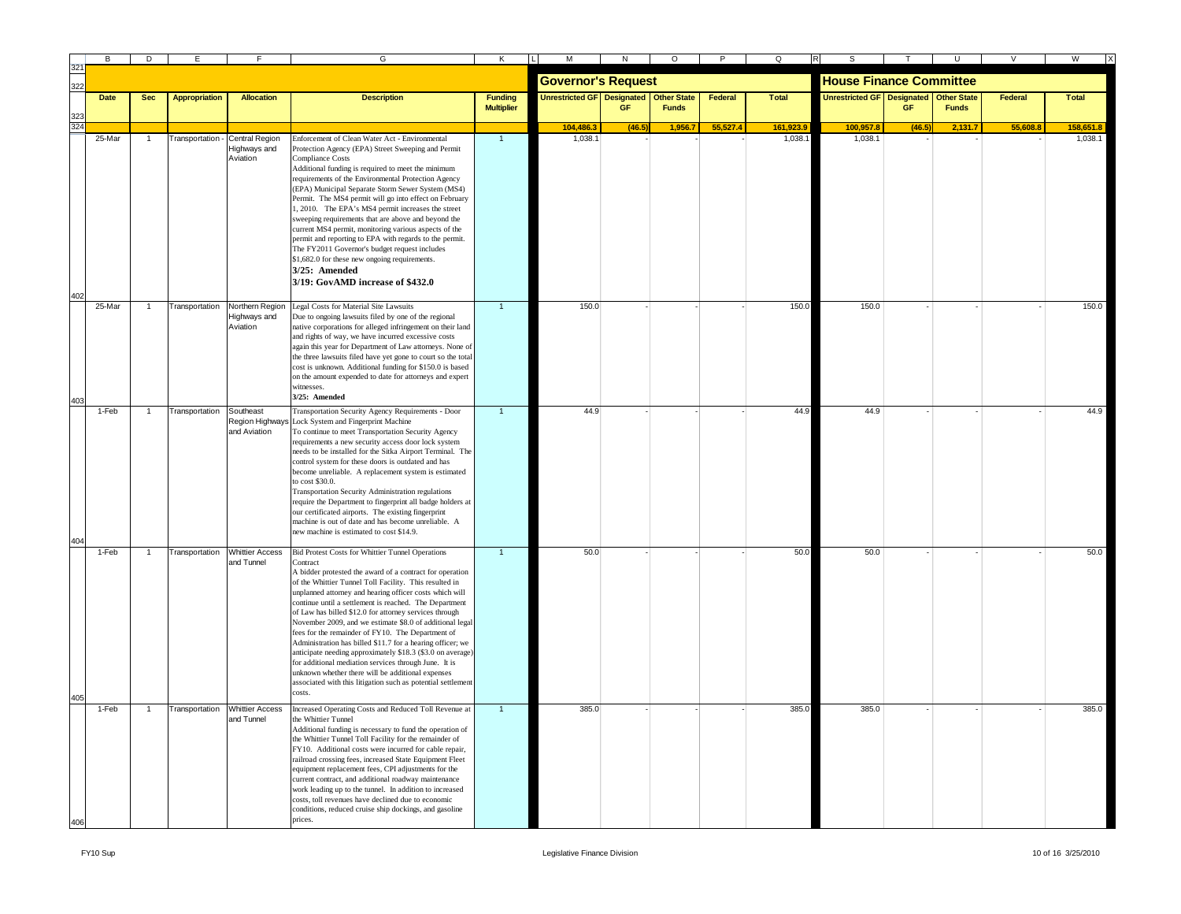| B           | D              | Е                    |                                              | G                                                                                                                                                                                                                                                                                                                                                                                                                                                                                                                                                                                                                                                                                                                                                                                                             | K                                   |                                   | N      | $\circ$                            |          | O            |                                   |        |                                    |          | W            |
|-------------|----------------|----------------------|----------------------------------------------|---------------------------------------------------------------------------------------------------------------------------------------------------------------------------------------------------------------------------------------------------------------------------------------------------------------------------------------------------------------------------------------------------------------------------------------------------------------------------------------------------------------------------------------------------------------------------------------------------------------------------------------------------------------------------------------------------------------------------------------------------------------------------------------------------------------|-------------------------------------|-----------------------------------|--------|------------------------------------|----------|--------------|-----------------------------------|--------|------------------------------------|----------|--------------|
|             |                |                      |                                              |                                                                                                                                                                                                                                                                                                                                                                                                                                                                                                                                                                                                                                                                                                                                                                                                               |                                     | <b>Governor's Request</b>         |        |                                    |          |              | <b>House Finance Committee</b>    |        |                                    |          |              |
| <b>Date</b> | <b>Sec</b>     | <b>Appropriation</b> | <b>Allocation</b>                            | <b>Description</b>                                                                                                                                                                                                                                                                                                                                                                                                                                                                                                                                                                                                                                                                                                                                                                                            | <b>Funding</b><br><b>Multiplier</b> | <b>Unrestricted GF Designated</b> | GF     | <b>Other State</b><br><b>Funds</b> | Federal  | <b>Total</b> | <b>Unrestricted GF Designated</b> | GF     | <b>Other State</b><br><b>Funds</b> | Federal  | <b>Total</b> |
|             |                |                      |                                              |                                                                                                                                                                                                                                                                                                                                                                                                                                                                                                                                                                                                                                                                                                                                                                                                               |                                     | 104,486.3                         | (46.5) | 1,956.7                            | 55.527.4 | 161,923.9    | 100,957.                          | (46.5) | 2,131.7                            | 55.608.8 | 158,651.     |
| 25-Mar      | $\mathbf{1}$   | Transportation -     | Central Region<br>Highways and<br>Aviation   | Enforcement of Clean Water Act - Environmental<br>Protection Agency (EPA) Street Sweeping and Permit<br>Compliance Costs<br>Additional funding is required to meet the minimum<br>requirements of the Environmental Protection Agency<br>(EPA) Municipal Separate Storm Sewer System (MS4)<br>Permit. The MS4 permit will go into effect on February<br>1, 2010. The EPA's MS4 permit increases the street<br>sweeping requirements that are above and beyond the<br>current MS4 permit, monitoring various aspects of the                                                                                                                                                                                                                                                                                    | $\mathbf{1}$                        | 1,038.1                           |        |                                    |          | 1,038.       | 1,038.1                           |        |                                    |          | 1,038.1      |
| 25-Mar      |                | Transportation       |                                              | permit and reporting to EPA with regards to the permit.<br>The FY2011 Governor's budget request includes<br>\$1,682.0 for these new ongoing requirements.<br>3/25: Amended<br>3/19: GovAMD increase of \$432.0<br>Northern Region Legal Costs for Material Site Lawsuits                                                                                                                                                                                                                                                                                                                                                                                                                                                                                                                                      | $\overline{1}$                      | 150.0                             |        |                                    |          | 150.0        | 150.0                             |        |                                    |          | 150.0        |
|             |                |                      | Highways and<br>Aviation                     | Due to ongoing lawsuits filed by one of the regional<br>native corporations for alleged infringement on their land<br>and rights of way, we have incurred excessive costs<br>again this year for Department of Law attorneys. None of<br>the three lawsuits filed have yet gone to court so the total<br>cost is unknown. Additional funding for \$150.0 is based<br>on the amount expended to date for attorneys and expert<br>witnesses.<br>3/25: Amended                                                                                                                                                                                                                                                                                                                                                   |                                     |                                   |        |                                    |          |              |                                   |        |                                    |          |              |
| 1-Feb       | $\overline{1}$ | Transportation       | Southeast<br>and Aviation                    | Transportation Security Agency Requirements - Door<br>Region Highways Lock System and Fingerprint Machine<br>To continue to meet Transportation Security Agency<br>requirements a new security access door lock system<br>needs to be installed for the Sitka Airport Terminal. The<br>control system for these doors is outdated and has<br>become unreliable. A replacement system is estimated<br>to cost \$30.0.<br>Transportation Security Administration regulations<br>require the Department to fingerprint all badge holders at<br>our certificated airports. The existing fingerprint<br>machine is out of date and has become unreliable. A<br>new machine is estimated to cost \$14.9.                                                                                                            | $\overline{1}$                      | 44.9                              |        |                                    |          | 44.9         | 44.9                              |        |                                    |          | 44.9         |
| $1-Feb$     |                |                      | Transportation Whittier Access<br>and Tunnel | <b>Bid Protest Costs for Whittier Tunnel Operations</b><br>Contract<br>A bidder protested the award of a contract for operation<br>of the Whittier Tunnel Toll Facility. This resulted in<br>unplanned attorney and hearing officer costs which will<br>continue until a settlement is reached. The Department<br>of Law has billed \$12.0 for attorney services through<br>November 2009, and we estimate \$8.0 of additional legal<br>fees for the remainder of FY10. The Department of<br>Administration has billed \$11.7 for a hearing officer; we<br>anticipate needing approximately \$18.3 (\$3.0 on average)<br>for additional mediation services through June. It is<br>unknown whether there will be additional expenses<br>associated with this litigation such as potential settlement<br>costs. |                                     | 50.0                              |        |                                    |          | 50.0         | 50.0                              |        |                                    |          | 50.0         |
| 1-Feb       | $\mathbf{1}$   | Transportation       | <b>Whittier Access</b><br>and Tunnel         | Increased Operating Costs and Reduced Toll Revenue at<br>the Whittier Tunnel<br>Additional funding is necessary to fund the operation of<br>the Whittier Tunnel Toll Facility for the remainder of<br>FY10. Additional costs were incurred for cable repair,<br>railroad crossing fees, increased State Equipment Fleet<br>equipment replacement fees, CPI adjustments for the<br>current contract, and additional roadway maintenance<br>work leading up to the tunnel. In addition to increased<br>costs, toll revenues have declined due to economic<br>conditions, reduced cruise ship dockings, and gasoline<br>prices.                                                                                                                                                                                  | $\blacktriangleleft$                | 385.0                             |        |                                    |          | 385.0        | 385.0                             |        |                                    |          | 385.0        |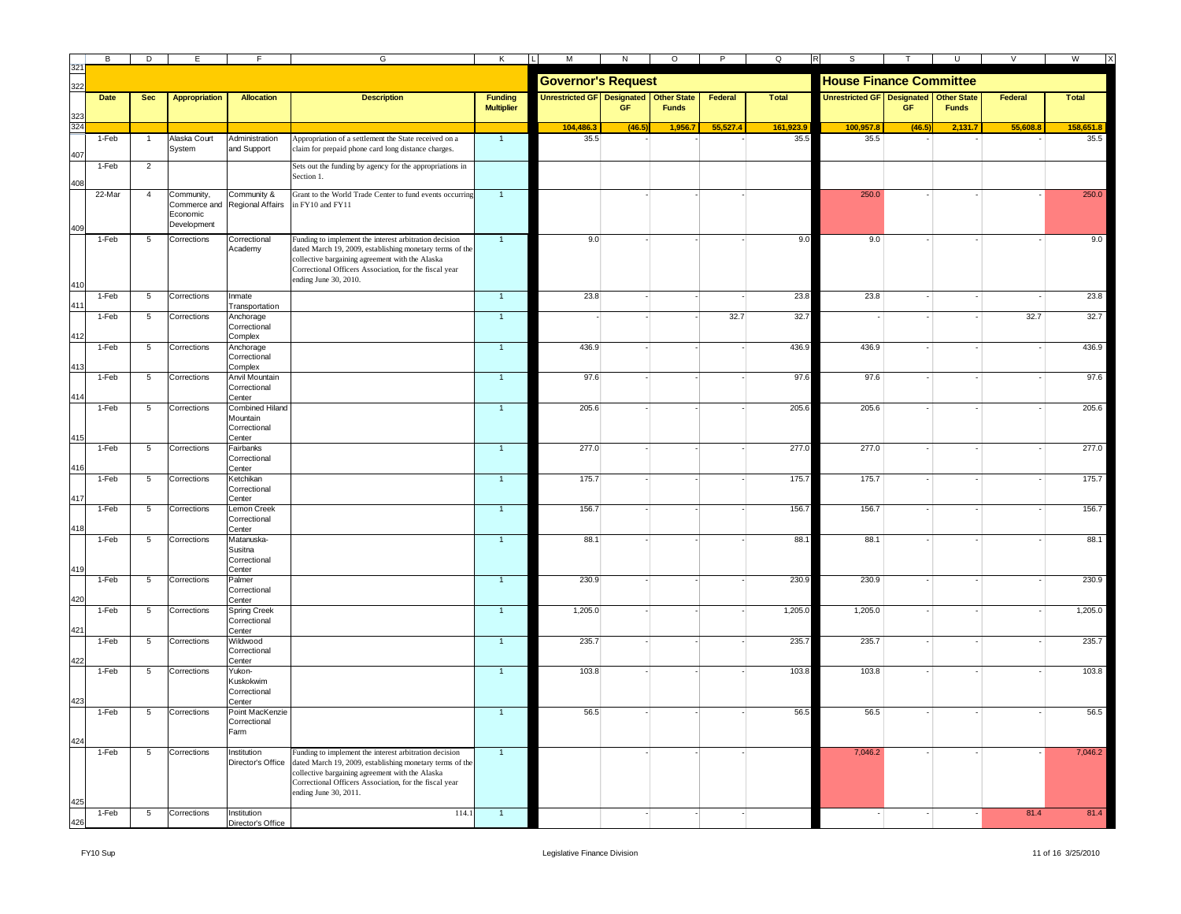|            | B      | D              | Е                                                     |                                                   | G                                                                                                                                                                                                                                                                          | Κ                                   | M                                 | N      | $\circ$                            | $\overline{P}$ | Q            | $\overline{R}$                         |        | $\cup$       |          | W<br>$\mathsf{I}$ |
|------------|--------|----------------|-------------------------------------------------------|---------------------------------------------------|----------------------------------------------------------------------------------------------------------------------------------------------------------------------------------------------------------------------------------------------------------------------------|-------------------------------------|-----------------------------------|--------|------------------------------------|----------------|--------------|----------------------------------------|--------|--------------|----------|-------------------|
| 322        |        |                |                                                       |                                                   |                                                                                                                                                                                                                                                                            |                                     | <b>Governor's Request</b>         |        |                                    |                |              | <b>House Finance Committee</b>         |        |              |          |                   |
|            | Date   | <b>Sec</b>     | <b>Appropriation</b>                                  | <b>Allocation</b>                                 | <b>Description</b>                                                                                                                                                                                                                                                         | <b>Funding</b><br><b>Multiplier</b> | <b>Unrestricted GF</b> Designated | GF     | <b>Other State</b><br><b>Funds</b> | Federal        | <b>Total</b> | Unrestricted GF Designated Other State | GF     | <b>Funds</b> | Federal  | <b>Total</b>      |
| 323<br>324 |        |                |                                                       |                                                   |                                                                                                                                                                                                                                                                            |                                     | 104,486.3                         | (46.5) | 1,956.7                            | 55,527.4       | 161,923.9    | 100,957.8                              | (46.5) | 2,131.7      | 55,608.8 | 158.651.8         |
|            | 1-Feb  | $\overline{1}$ | Alaska Court<br>System                                | Administration<br>and Support                     | Appropriation of a settlement the State received on a<br>claim for prepaid phone card long distance charges.                                                                                                                                                               | $\overline{1}$                      | 35.5                              |        |                                    |                | 35.5         | 35.5                                   |        |              |          | 35.5              |
|            | 1-Feb  | $\overline{2}$ |                                                       |                                                   | Sets out the funding by agency for the appropriations in<br>Section 1.                                                                                                                                                                                                     |                                     |                                   |        |                                    |                |              |                                        |        |              |          |                   |
|            | 22-Mar | $\overline{4}$ | Community,<br>Commerce and<br>Economic<br>Development | Community &<br>Regional Affairs                   | Grant to the World Trade Center to fund events occurring<br>in FY10 and FY11                                                                                                                                                                                               | $\overline{1}$                      |                                   |        |                                    |                |              | 250.0                                  |        |              |          | 250.0             |
| 41         | 1-Feb  | 5              | Corrections                                           | Correctional<br>Academy                           | Funding to implement the interest arbitration decision<br>dated March 19, 2009, establishing monetary terms of the<br>collective bargaining agreement with the Alaska<br>Correctional Officers Association, for the fiscal year<br>ending June 30, 2010.                   | $\mathbf{1}$                        | 9.0                               |        |                                    |                | 9.0          | 9.0                                    |        |              |          | 9.0               |
| 41         | 1-Feb  | 5              | Corrections                                           | Inmate<br>Transportation                          |                                                                                                                                                                                                                                                                            | $\mathbf{1}$                        | 23.8                              |        |                                    |                | 23.8         | 23.8                                   |        |              |          | 23.8              |
|            | 1-Feb  | 5              | Corrections                                           | Anchorage<br>Correctional                         |                                                                                                                                                                                                                                                                            | $\mathbf{1}$                        |                                   |        |                                    | 32.7           | 32.7         |                                        |        |              | 32.7     | 32.7              |
|            | 1-Feb  | 5              | Corrections                                           | Complex<br>Anchorage<br>Correctional              |                                                                                                                                                                                                                                                                            | $\mathbf{1}$                        | 436.9                             |        |                                    |                | 436.9        | 436.9                                  |        |              |          | 436.9             |
|            | 1-Feb  | 5              | Corrections                                           | Complex<br>Anvil Mountain<br>Correctional         |                                                                                                                                                                                                                                                                            | $\overline{1}$                      | 97.6                              |        |                                    |                | 97.6         | 97.6                                   |        |              |          | 97.6              |
|            | 1-Feb  | 5              | Corrections                                           | Center<br><b>Combined Hiland</b>                  |                                                                                                                                                                                                                                                                            | $\overline{1}$                      | 205.6                             |        |                                    |                | 205.6        | 205.6                                  |        |              |          | 205.6             |
| 415        |        |                |                                                       | Mountain<br>Correctional<br>Center                |                                                                                                                                                                                                                                                                            |                                     |                                   |        |                                    |                |              |                                        |        |              |          |                   |
| 416        | 1-Feb  | 5              | Corrections                                           | Fairbanks<br>Correctional<br>Center               |                                                                                                                                                                                                                                                                            | $\overline{1}$                      | 277.0                             |        |                                    |                | 277.0        | 277.0                                  |        |              |          | 277.0             |
|            | 1-Feb  | 5              | Corrections                                           | Ketchikan<br>Correctional<br>Center               |                                                                                                                                                                                                                                                                            | $\mathbf{1}$                        | 175.7                             |        |                                    |                | 175.7        | 175.7                                  |        |              |          | 175.7             |
| 418        | 1-Feb  | 5              | Corrections                                           | Lemon Creek<br>Correctional<br>Center             |                                                                                                                                                                                                                                                                            | $\overline{1}$                      | 156.7                             |        |                                    |                | 156.7        | 156.7                                  |        |              |          | 156.7             |
|            | 1-Feb  | 5              | Corrections                                           | Matanuska-<br>Susitna<br>Correctional<br>Center   |                                                                                                                                                                                                                                                                            | $\overline{1}$                      | 88.1                              |        |                                    |                | 88.1         | 88.1                                   |        |              |          | 88.1              |
|            | 1-Feb  | 5              | Corrections                                           | Palmer<br>Correctional<br>Center                  |                                                                                                                                                                                                                                                                            | $\mathbf{1}$                        | 230.9                             |        |                                    |                | 230.9        | 230.9                                  |        |              |          | 230.9             |
|            | 1-Feb  | 5              | Corrections                                           | <b>Spring Creek</b><br>Correctional<br>Center     |                                                                                                                                                                                                                                                                            | $\mathbf{1}$                        | 1,205.0                           |        |                                    |                | 1,205.0      | 1,205.0                                |        |              |          | 1,205.0           |
|            | 1-Feb  | 5              | Corrections                                           | Wildwood<br>Correctional                          |                                                                                                                                                                                                                                                                            | $\mathbf{1}$                        | 235.7                             |        |                                    |                | 235.7        | 235.7                                  |        |              |          | 235.7             |
|            | 1-Feb  | 5              | Corrections                                           | Center<br>Yukon-<br>Kuskokwim<br>Correctional     |                                                                                                                                                                                                                                                                            | $\overline{1}$                      | 103.8                             |        |                                    |                | 103.8        | 103.8                                  |        |              |          | 103.8             |
| 42         | 1-Feb  | 5              | Corrections                                           | Center<br>Point MacKenzie<br>Correctional<br>Farm |                                                                                                                                                                                                                                                                            | $\overline{1}$                      | 56.5                              |        |                                    |                | 56.5         | 56.5                                   |        |              |          | 56.5              |
| 42.        | 1-Feb  | 5              | Corrections                                           | Institution                                       | Funding to implement the interest arbitration decision<br>Director's Office dated March 19, 2009, establishing monetary terms of the<br>collective bargaining agreement with the Alaska<br>Correctional Officers Association, for the fiscal year<br>ending June 30, 2011. | $\mathbf{1}$                        |                                   |        |                                    |                |              | 7,046.2                                |        |              |          | 7,046.2           |
| 426        | 1-Feb  | 5              | Corrections                                           | Institution<br>Director's Office                  | 114.1                                                                                                                                                                                                                                                                      | $\mathbf{1}$                        |                                   |        |                                    |                |              |                                        |        |              | 81.4     | 81.4              |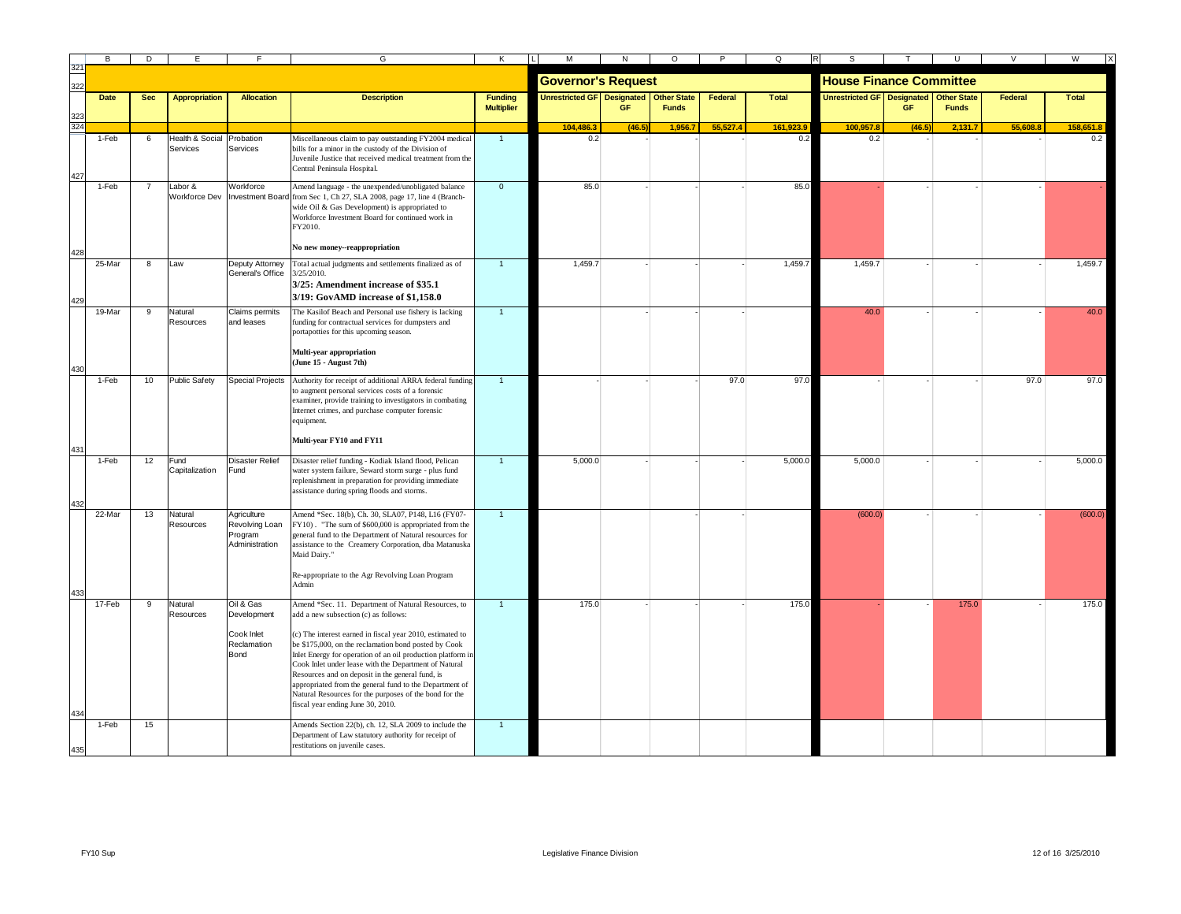| 32  | R <sub>1</sub>  | D              | E                              |                                                               | G                                                                                                                                                                                                                                                                                                                                                                                                                                                                                                                                                                                                               | ĸ                                   | М                                        | N         | $\circ$      |          | O            |                                   |           |                                    | $\vee$  | W            |
|-----|-----------------|----------------|--------------------------------|---------------------------------------------------------------|-----------------------------------------------------------------------------------------------------------------------------------------------------------------------------------------------------------------------------------------------------------------------------------------------------------------------------------------------------------------------------------------------------------------------------------------------------------------------------------------------------------------------------------------------------------------------------------------------------------------|-------------------------------------|------------------------------------------|-----------|--------------|----------|--------------|-----------------------------------|-----------|------------------------------------|---------|--------------|
| 322 |                 |                |                                |                                                               |                                                                                                                                                                                                                                                                                                                                                                                                                                                                                                                                                                                                                 |                                     | <b>Governor's Request</b>                |           |              |          |              | <b>House Finance Committee</b>    |           |                                    |         |              |
|     | <b>Date</b>     | <b>Sec</b>     | <b>Appropriation</b>           | <b>Allocation</b>                                             | <b>Description</b>                                                                                                                                                                                                                                                                                                                                                                                                                                                                                                                                                                                              | <b>Funding</b><br><b>Multiplier</b> | Unrestricted GF Designated   Other State | <b>GF</b> | <b>Funds</b> | Federal  | <b>Total</b> | <b>Unrestricted GF</b> Designated | <b>GF</b> | <b>Other State</b><br><b>Funds</b> | Federal | <b>Total</b> |
| 324 |                 |                |                                |                                                               |                                                                                                                                                                                                                                                                                                                                                                                                                                                                                                                                                                                                                 |                                     | 104,486.3                                | (46.5)    | 1,956.7      | 55,527.4 | 161,923.9    | 100,957.8                         | (46.5)    | 2,131.7                            | 55,608. | 158,651.8    |
| 427 | 1-Feb           | 6              | Health & Social<br>Services    | Probation<br>Services                                         | Miscellaneous claim to pay outstanding FY2004 medical<br>bills for a minor in the custody of the Division of<br>Juvenile Justice that received medical treatment from the<br>Central Peninsula Hospital.                                                                                                                                                                                                                                                                                                                                                                                                        | $\overline{1}$                      | 0.2                                      |           |              |          | 0.2          | 0.2                               |           |                                    |         | 0.2          |
|     | 1-Feb           | $\overline{7}$ | abor &<br><b>Workforce Dev</b> | Workforce                                                     | Amend language - the unexpended/unobligated balance<br>Investment Board from Sec 1, Ch 27, SLA 2008, page 17, line 4 (Branch-<br>wide Oil & Gas Development) is appropriated to<br>Workforce Investment Board for continued work in<br>FY2010.<br>No new money--reappropriation                                                                                                                                                                                                                                                                                                                                 | $\mathbf 0$                         | 85.0                                     |           |              |          | 85.0         |                                   |           |                                    |         |              |
|     |                 |                |                                |                                                               |                                                                                                                                                                                                                                                                                                                                                                                                                                                                                                                                                                                                                 |                                     |                                          |           |              |          |              |                                   |           |                                    |         |              |
|     | 25-Mar          | 8              | Law                            | Deputy Attorney<br>General's Office                           | Total actual judgments and settlements finalized as of<br>3/25/2010.<br>3/25: Amendment increase of \$35.1<br>3/19: GovAMD increase of \$1.158.0                                                                                                                                                                                                                                                                                                                                                                                                                                                                | $\mathbf{1}$                        | 1,459.7                                  |           |              |          | 1,459.7      | 1,459.7                           |           |                                    |         | 1,459.7      |
|     | 19-Mar          | $\mathbf{Q}$   | Natural<br>Resources           | Claims permits<br>and leases                                  | The Kasilof Beach and Personal use fishery is lacking<br>funding for contractual services for dumpsters and<br>portapotties for this upcoming season.<br>Multi-year appropriation<br>(June 15 - August 7th)                                                                                                                                                                                                                                                                                                                                                                                                     | $\overline{1}$                      |                                          |           |              |          |              | 40.0                              |           |                                    |         | 40.0         |
|     |                 |                |                                |                                                               |                                                                                                                                                                                                                                                                                                                                                                                                                                                                                                                                                                                                                 |                                     |                                          |           |              |          |              |                                   |           |                                    |         |              |
|     | 1-Feb           | 10             | <b>Public Safety</b>           | <b>Special Projects</b>                                       | Authority for receipt of additional ARRA federal funding<br>to augment personal services costs of a forensic<br>examiner, provide training to investigators in combating<br>Internet crimes, and purchase computer forensic<br>equipment.<br>Multi-year FY10 and FY11                                                                                                                                                                                                                                                                                                                                           | $\blacktriangleleft$                |                                          |           |              | 97.0     | 97.0         |                                   |           |                                    | 97.0    | 97.0         |
|     |                 |                |                                |                                                               |                                                                                                                                                                                                                                                                                                                                                                                                                                                                                                                                                                                                                 |                                     |                                          |           |              |          |              |                                   |           |                                    |         |              |
|     | $1-Feb$         | 12             | Fund<br>Capitalization         | Disaster Relief<br>Fund                                       | Disaster relief funding - Kodiak Island flood, Pelican<br>water system failure, Seward storm surge - plus fund<br>replenishment in preparation for providing immediate<br>assistance during spring floods and storms.                                                                                                                                                                                                                                                                                                                                                                                           | $\overline{1}$                      | 5,000.0                                  |           |              |          | 5,000.0      | 5,000.0                           |           |                                    |         | 5,000.0      |
|     | 22-Mar          | 13             | Natural<br>Resources           | Agriculture<br>Revolving Loan<br>Program<br>Administration    | Amend *Sec. 18(b), Ch. 30, SLA07, P148, L16 (FY07-<br>FY10). "The sum of \$600,000 is appropriated from the<br>general fund to the Department of Natural resources for<br>assistance to the Creamery Corporation, dba Matanuska<br>Maid Dairy."<br>Re-appropriate to the Agr Revolving Loan Program<br>Admin                                                                                                                                                                                                                                                                                                    | $\overline{1}$                      |                                          |           |              |          |              | (600.0)                           |           |                                    |         | (600.0)      |
|     | 17-Feb<br>1-Feb | 9<br>15        | Natural<br>Resources           | Oil & Gas<br>Development<br>Cook Inlet<br>Reclamation<br>Bond | Amend *Sec. 11. Department of Natural Resources, to<br>add a new subsection (c) as follows:<br>(c) The interest earned in fiscal year 2010, estimated to<br>be \$175,000, on the reclamation bond posted by Cook<br>Inlet Energy for operation of an oil production platform in<br>Cook Inlet under lease with the Department of Natural<br>Resources and on deposit in the general fund, is<br>appropriated from the general fund to the Department of<br>Natural Resources for the purposes of the bond for the<br>fiscal year ending June 30, 2010.<br>Amends Section 22(b), ch. 12, SLA 2009 to include the | $\mathbf{1}$                        | 175.0                                    |           |              |          | 175.0        |                                   |           | 175.0                              |         | 175.0        |
|     |                 |                |                                |                                                               | Department of Law statutory authority for receipt of<br>restitutions on juvenile cases.                                                                                                                                                                                                                                                                                                                                                                                                                                                                                                                         |                                     |                                          |           |              |          |              |                                   |           |                                    |         |              |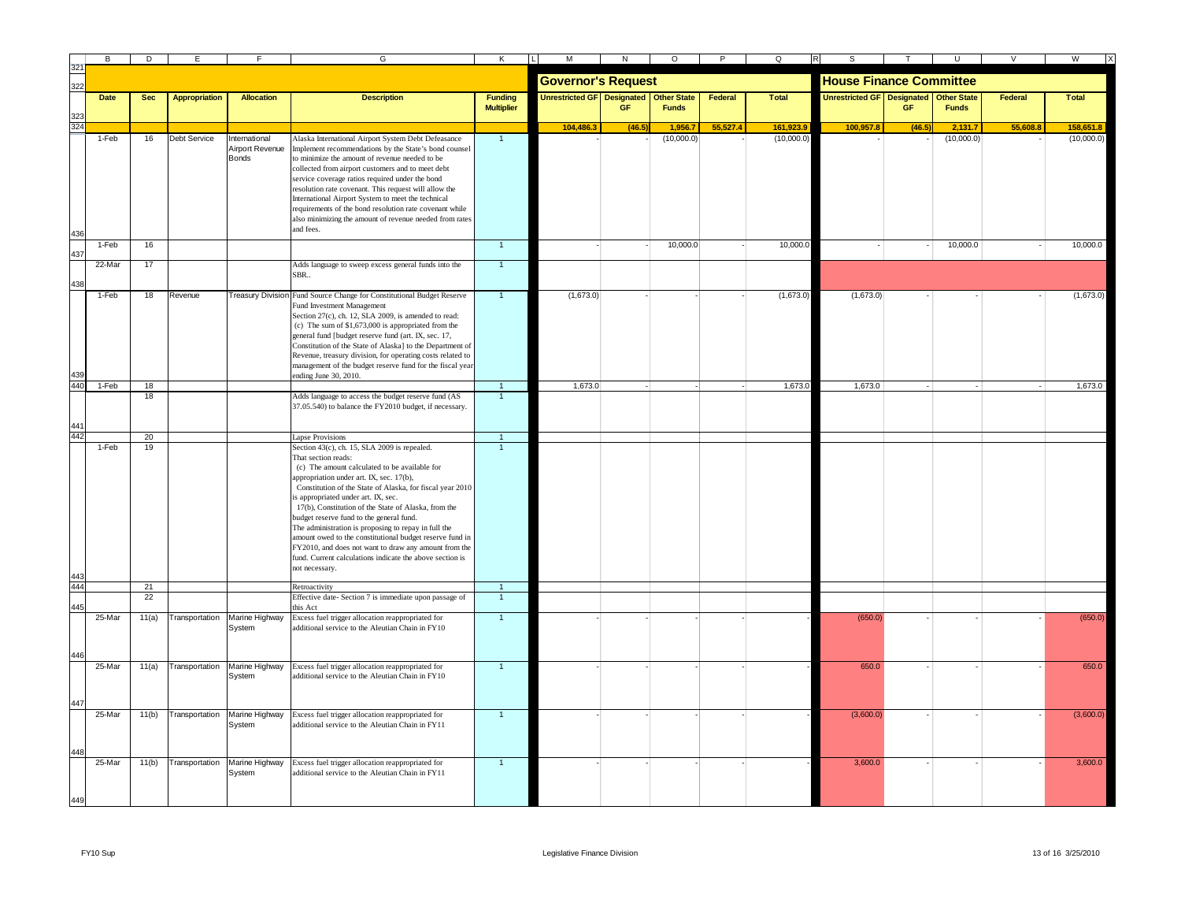|            | В           | D          | Е                    |                                 | G                                                                                                                 | K                    | м                                 | N         | $\circ$            | P        | Q            |                                   |        |                    |          | W            |
|------------|-------------|------------|----------------------|---------------------------------|-------------------------------------------------------------------------------------------------------------------|----------------------|-----------------------------------|-----------|--------------------|----------|--------------|-----------------------------------|--------|--------------------|----------|--------------|
| 321        |             |            |                      |                                 |                                                                                                                   |                      | <b>Governor's Request</b>         |           |                    |          |              | <b>House Finance Committee</b>    |        |                    |          |              |
|            | <b>Date</b> | <b>Sec</b> | <b>Appropriation</b> | <b>Allocation</b>               | <b>Description</b>                                                                                                | <b>Funding</b>       | <b>Unrestricted GF</b> Designated |           | <b>Other State</b> | Federal  | <b>Total</b> | <b>Unrestricted GF Designated</b> |        | <b>Other State</b> | Federal  | <b>Total</b> |
| 323        |             |            |                      |                                 |                                                                                                                   | <b>Multiplier</b>    |                                   | <b>GF</b> | <b>Funds</b>       |          |              |                                   | GF     | <b>Funds</b>       |          |              |
| 324        |             |            |                      |                                 |                                                                                                                   |                      | 104,486.3                         | (46.5)    | 1,956.7            | 55,527.4 | 161,923.9    | 100,957.8                         | (46.5) | 2,131.7            | 55,608.8 | 158,651.8    |
|            | 1-Feb       | 16         | Debt Service         | International                   | Alaska International Airport System Debt Defeasance                                                               | $\overline{1}$       |                                   |           | (10,000.0)         |          | (10,000.0)   |                                   |        | (10,000.0)         |          | (10,000.0)   |
|            |             |            |                      | Airport Revenue<br><b>Bonds</b> | Implement recommendations by the State's bond counsel<br>to minimize the amount of revenue needed to be           |                      |                                   |           |                    |          |              |                                   |        |                    |          |              |
|            |             |            |                      |                                 | collected from airport customers and to meet debt                                                                 |                      |                                   |           |                    |          |              |                                   |        |                    |          |              |
|            |             |            |                      |                                 | service coverage ratios required under the bond                                                                   |                      |                                   |           |                    |          |              |                                   |        |                    |          |              |
|            |             |            |                      |                                 | resolution rate covenant. This request will allow the                                                             |                      |                                   |           |                    |          |              |                                   |        |                    |          |              |
|            |             |            |                      |                                 | International Airport System to meet the technical<br>requirements of the bond resolution rate covenant while     |                      |                                   |           |                    |          |              |                                   |        |                    |          |              |
|            |             |            |                      |                                 | also minimizing the amount of revenue needed from rates                                                           |                      |                                   |           |                    |          |              |                                   |        |                    |          |              |
|            |             |            |                      |                                 | and fees.                                                                                                         |                      |                                   |           |                    |          |              |                                   |        |                    |          |              |
|            | 1-Feb       | 16         |                      |                                 |                                                                                                                   | $\overline{1}$       |                                   |           | 10,000.0           |          | 10,000.0     |                                   |        | 10,000.0           |          | 10,000.0     |
|            | 22-Mar      | 17         |                      |                                 | Adds language to sweep excess general funds into the                                                              | $\overline{1}$       |                                   |           |                    |          |              |                                   |        |                    |          |              |
|            |             |            |                      |                                 | SBR                                                                                                               |                      |                                   |           |                    |          |              |                                   |        |                    |          |              |
|            | 1-Feb       |            | Revenue              |                                 | Treasury Division Fund Source Change for Constitutional Budget Reserve                                            | $\overline{1}$       | (1,673.0)                         |           |                    |          | (1,673.0)    | (1,673.0)                         |        |                    |          | (1,673.0)    |
|            |             | 18         |                      |                                 | Fund Investment Management                                                                                        |                      |                                   |           |                    |          |              |                                   |        |                    |          |              |
|            |             |            |                      |                                 | Section 27(c), ch. 12, SLA 2009, is amended to read:                                                              |                      |                                   |           |                    |          |              |                                   |        |                    |          |              |
|            |             |            |                      |                                 | (c) The sum of $$1,673,000$ is appropriated from the                                                              |                      |                                   |           |                    |          |              |                                   |        |                    |          |              |
|            |             |            |                      |                                 | general fund [budget reserve fund (art. IX, sec. 17,<br>Constitution of the State of Alaska] to the Department of |                      |                                   |           |                    |          |              |                                   |        |                    |          |              |
|            |             |            |                      |                                 | Revenue, treasury division, for operating costs related to                                                        |                      |                                   |           |                    |          |              |                                   |        |                    |          |              |
|            |             |            |                      |                                 | management of the budget reserve fund for the fiscal year                                                         |                      |                                   |           |                    |          |              |                                   |        |                    |          |              |
| 439<br>440 |             |            |                      |                                 | ending June 30, 2010.                                                                                             |                      |                                   |           |                    |          |              |                                   |        |                    |          |              |
|            | 1-Feb       | 18<br>18   |                      |                                 | Adds language to access the budget reserve fund (AS                                                               | $\overline{1}$       | 1,673.0                           |           |                    |          | 1,673.0      | 1,673.0                           |        |                    |          | 1,673.0      |
|            |             |            |                      |                                 | 37.05.540) to balance the FY2010 budget, if necessary.                                                            |                      |                                   |           |                    |          |              |                                   |        |                    |          |              |
| 44         |             |            |                      |                                 |                                                                                                                   |                      |                                   |           |                    |          |              |                                   |        |                    |          |              |
| 442        |             | 20         |                      |                                 | <b>Lapse Provisions</b>                                                                                           | $\blacktriangleleft$ |                                   |           |                    |          |              |                                   |        |                    |          |              |
|            | 1-Feb       | 19         |                      |                                 | Section 43(c), ch. 15, SLA 2009 is repealed.                                                                      | $\overline{1}$       |                                   |           |                    |          |              |                                   |        |                    |          |              |
|            |             |            |                      |                                 | That section reads:                                                                                               |                      |                                   |           |                    |          |              |                                   |        |                    |          |              |
|            |             |            |                      |                                 | (c) The amount calculated to be available for<br>appropriation under art. IX, sec. 17(b),                         |                      |                                   |           |                    |          |              |                                   |        |                    |          |              |
|            |             |            |                      |                                 | Constitution of the State of Alaska, for fiscal year 2010                                                         |                      |                                   |           |                    |          |              |                                   |        |                    |          |              |
|            |             |            |                      |                                 | s appropriated under art. IX, sec.                                                                                |                      |                                   |           |                    |          |              |                                   |        |                    |          |              |
|            |             |            |                      |                                 | 17(b), Constitution of the State of Alaska, from the                                                              |                      |                                   |           |                    |          |              |                                   |        |                    |          |              |
|            |             |            |                      |                                 | budget reserve fund to the general fund.                                                                          |                      |                                   |           |                    |          |              |                                   |        |                    |          |              |
|            |             |            |                      |                                 | The administration is proposing to repay in full the<br>amount owed to the constitutional budget reserve fund in  |                      |                                   |           |                    |          |              |                                   |        |                    |          |              |
|            |             |            |                      |                                 | FY2010, and does not want to draw any amount from the                                                             |                      |                                   |           |                    |          |              |                                   |        |                    |          |              |
|            |             |            |                      |                                 | fund. Current calculations indicate the above section is                                                          |                      |                                   |           |                    |          |              |                                   |        |                    |          |              |
|            |             |            |                      |                                 | not necessary.                                                                                                    |                      |                                   |           |                    |          |              |                                   |        |                    |          |              |
| 444        |             | 21         |                      |                                 | Retroactivity                                                                                                     | $\mathbf{1}$         |                                   |           |                    |          |              |                                   |        |                    |          |              |
| 445        |             | 22         |                      |                                 | Effective date- Section 7 is immediate upon passage of<br>his Act                                                 | $\overline{1}$       |                                   |           |                    |          |              |                                   |        |                    |          |              |
|            | 25-Mar      | 11(a)      | Transportation       | Marine Highway                  | Excess fuel trigger allocation reappropriated for                                                                 | $\overline{1}$       |                                   |           |                    |          |              | (650.0)                           |        |                    |          | (650.0)      |
|            |             |            |                      | System                          | additional service to the Aleutian Chain in FY10                                                                  |                      |                                   |           |                    |          |              |                                   |        |                    |          |              |
|            |             |            |                      |                                 |                                                                                                                   |                      |                                   |           |                    |          |              |                                   |        |                    |          |              |
|            |             |            |                      |                                 |                                                                                                                   |                      |                                   |           |                    |          |              |                                   |        |                    |          |              |
|            | 25-Mar      | 11(a)      | Transportation       | Marine Highway<br>System        | Excess fuel trigger allocation reappropriated for<br>additional service to the Aleutian Chain in FY10             | $\overline{1}$       |                                   |           |                    |          |              | 650.0                             |        |                    |          | 650.0        |
|            |             |            |                      |                                 |                                                                                                                   |                      |                                   |           |                    |          |              |                                   |        |                    |          |              |
|            |             |            |                      |                                 |                                                                                                                   |                      |                                   |           |                    |          |              |                                   |        |                    |          |              |
|            | 25-Mar      | 11(b)      | Transportation       | Marine Highway                  | Excess fuel trigger allocation reappropriated for                                                                 | $\mathbf{1}$         |                                   |           |                    |          |              | (3,600.0)                         |        |                    |          | (3,600.0)    |
|            |             |            |                      | System                          | dditional service to the Aleutian Chain in FY11                                                                   |                      |                                   |           |                    |          |              |                                   |        |                    |          |              |
|            |             |            |                      |                                 |                                                                                                                   |                      |                                   |           |                    |          |              |                                   |        |                    |          |              |
|            |             |            |                      |                                 |                                                                                                                   |                      |                                   |           |                    |          |              |                                   |        |                    |          |              |
|            | 25-Mar      | 11(b)      | Transportation       | Marine Highway<br>System        | Excess fuel trigger allocation reappropriated for<br>additional service to the Aleutian Chain in FY11             | $\blacktriangleleft$ |                                   |           |                    |          |              | 3,600.0                           |        |                    |          | 3,600.0      |
|            |             |            |                      |                                 |                                                                                                                   |                      |                                   |           |                    |          |              |                                   |        |                    |          |              |
|            |             |            |                      |                                 |                                                                                                                   |                      |                                   |           |                    |          |              |                                   |        |                    |          |              |
|            |             |            |                      |                                 |                                                                                                                   |                      |                                   |           |                    |          |              |                                   |        |                    |          |              |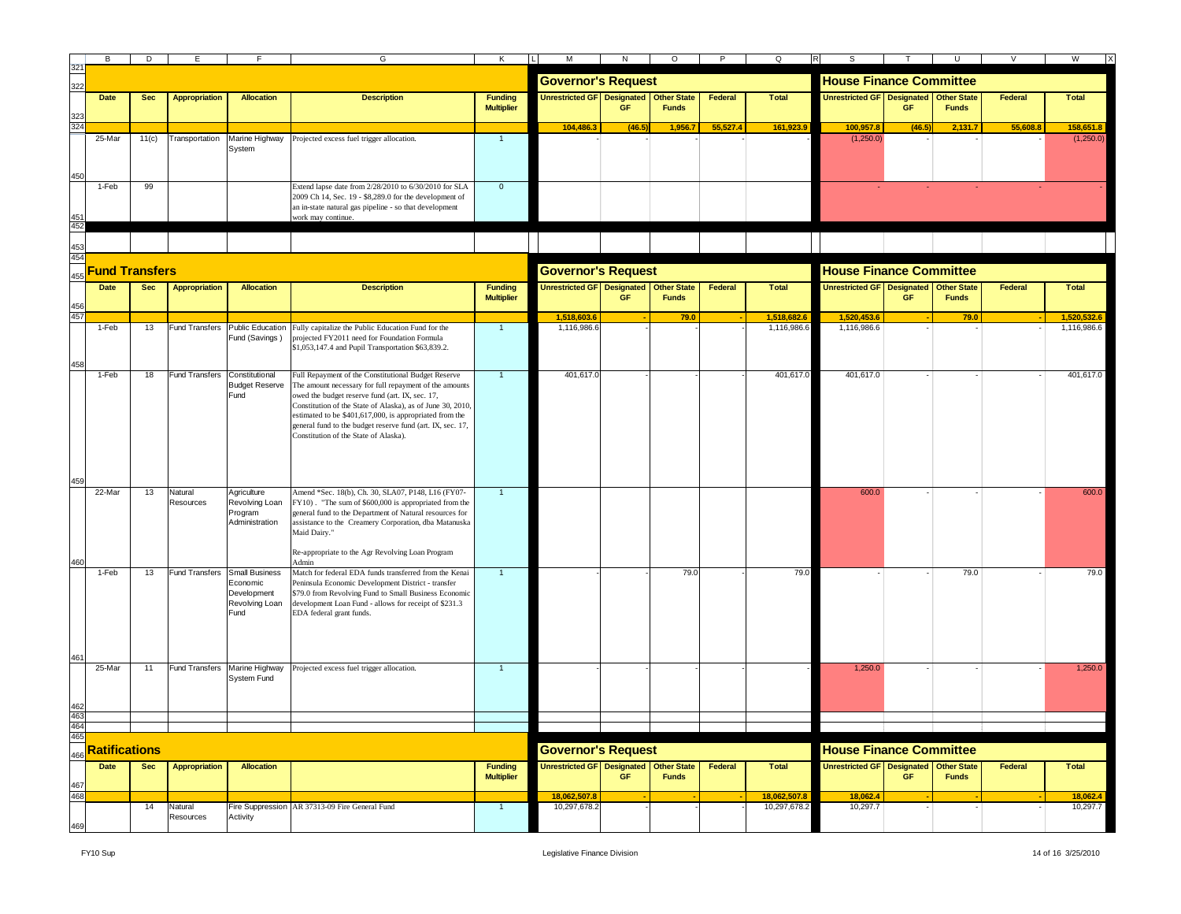|                      |                       | D          |                               |                                                            | G                                                                                                                                                                                                                                                                                                                                                                                                | K                                   | M                                      | N         | $\circ$                            | $\mathsf{P}$ | Q<br>$\mathsf{R}$              | S                                                                                                   |        |                                    |          | W                    |  |  |  |
|----------------------|-----------------------|------------|-------------------------------|------------------------------------------------------------|--------------------------------------------------------------------------------------------------------------------------------------------------------------------------------------------------------------------------------------------------------------------------------------------------------------------------------------------------------------------------------------------------|-------------------------------------|----------------------------------------|-----------|------------------------------------|--------------|--------------------------------|-----------------------------------------------------------------------------------------------------|--------|------------------------------------|----------|----------------------|--|--|--|
| 322                  |                       |            |                               |                                                            |                                                                                                                                                                                                                                                                                                                                                                                                  |                                     | <b>Governor's Request</b>              |           |                                    |              | <b>House Finance Committee</b> |                                                                                                     |        |                                    |          |                      |  |  |  |
|                      | <b>Date</b>           | <b>Sec</b> | <b>Appropriation</b>          | <b>Allocation</b>                                          | <b>Description</b>                                                                                                                                                                                                                                                                                                                                                                               | <b>Funding</b><br><b>Multiplier</b> | <b>Unrestricted GF</b> Designated      | GE        | <b>Other State</b><br><b>Funds</b> | Federal      | <b>Total</b>                   | Unrestricted GF   Designated   Other State                                                          | GF     | <b>Funds</b>                       | Federal  | <b>Total</b>         |  |  |  |
|                      |                       |            |                               |                                                            |                                                                                                                                                                                                                                                                                                                                                                                                  |                                     | 104.486.3                              | (46.5)    | 1,956.7                            | 55.527.4     | 161,923.9                      | 100,957.8                                                                                           | (46.5) | 2,131.7                            | 55.608.8 | 158,651.8            |  |  |  |
|                      | 25-Mar                | 11(c)      | Transportation                | System                                                     | Marine Highway Projected excess fuel trigger allocation.                                                                                                                                                                                                                                                                                                                                         | $\overline{1}$                      |                                        |           |                                    |              |                                | (1,250.0)                                                                                           |        |                                    |          | (1,250.0)            |  |  |  |
|                      | 1-Feb                 | 99         |                               |                                                            | Extend lapse date from 2/28/2010 to 6/30/2010 for SLA<br>2009 Ch 14, Sec. 19 - \$8,289.0 for the development of<br>an in-state natural gas pipeline - so that development<br>work may continue.                                                                                                                                                                                                  | $\overline{0}$                      |                                        |           |                                    |              |                                |                                                                                                     |        |                                    |          |                      |  |  |  |
|                      |                       |            |                               |                                                            |                                                                                                                                                                                                                                                                                                                                                                                                  |                                     |                                        |           |                                    |              |                                |                                                                                                     |        |                                    |          |                      |  |  |  |
| 454                  | <b>Fund Transfers</b> |            |                               |                                                            |                                                                                                                                                                                                                                                                                                                                                                                                  |                                     | <b>Governor's Request</b>              |           |                                    |              |                                |                                                                                                     |        |                                    |          |                      |  |  |  |
|                      | <b>Date</b>           | <b>Sec</b> | <b>Appropriation</b>          | <b>Allocation</b>                                          | <b>Description</b>                                                                                                                                                                                                                                                                                                                                                                               | <b>Funding</b>                      | Unrestricted GF Designated Other State |           |                                    | Federal      | <b>Total</b>                   | <b>House Finance Committee</b><br>Unrestricted GF Designated Other State<br>Federal<br><b>Total</b> |        |                                    |          |                      |  |  |  |
|                      |                       |            |                               |                                                            |                                                                                                                                                                                                                                                                                                                                                                                                  | <b>Multiplier</b>                   |                                        | <b>GF</b> | <b>Funds</b>                       |              |                                |                                                                                                     | GF     | <b>Funds</b>                       |          |                      |  |  |  |
| 457                  |                       |            |                               |                                                            |                                                                                                                                                                                                                                                                                                                                                                                                  |                                     | 1.518.603.6                            |           | 79.0                               |              | 1.518.682.6                    | 1.520.453.6                                                                                         |        | 79.0                               |          | 1.520.532.           |  |  |  |
|                      | 1-Feb                 | 13         | <b>Fund Transfers</b>         | <b>Public Education</b><br>Fund (Savings)                  | Fully capitalize the Public Education Fund for the<br>projected FY2011 need for Foundation Formula<br>\$1,053,147.4 and Pupil Transportation \$63,839.2.                                                                                                                                                                                                                                         |                                     | 1,116,986.6                            |           |                                    |              | 1,116,986.6                    | 1,116,986.6                                                                                         |        |                                    |          | 1,116,986.6          |  |  |  |
|                      | 1-Feb                 | 18         | <b>Fund Transfers</b>         | Constitutional<br><b>Budget Reserve</b><br>Fund            | Full Repayment of the Constitutional Budget Reserve<br>The amount necessary for full repayment of the amounts<br>owed the budget reserve fund (art. IX, sec. 17,<br>Constitution of the State of Alaska), as of June 30, 2010,<br>estimated to be \$401,617,000, is appropriated from the<br>general fund to the budget reserve fund (art. IX, sec. 17,<br>Constitution of the State of Alaska). |                                     | 401,617.0                              |           |                                    |              | 401,617.0                      | 401,617.0                                                                                           |        |                                    |          | 401,617.0            |  |  |  |
|                      | 22-Mar                | 13         | Natural<br>Resources          | Agriculture<br>Revolving Loan<br>Program<br>Administration | Amend *Sec. 18(b), Ch. 30, SLA07, P148, L16 (FY07-<br>FY10). "The sum of \$600,000 is appropriated from the<br>general fund to the Department of Natural resources for<br>assistance to the Creamery Corporation, dba Matanuska<br>Maid Dairy."<br>Re-appropriate to the Agr Revolving Loan Program<br>Admin                                                                                     |                                     |                                        |           |                                    |              |                                | 600.0                                                                                               |        |                                    |          | 600.0                |  |  |  |
|                      | 1-Feb                 | 13         | Fund Transfers Small Business | Economic<br>Development<br>Revolving Loan<br>Fund          | Match for federal EDA funds transferred from the Kenai<br>Peninsula Economic Development District - transfer<br>\$79.0 from Revolving Fund to Small Business Economic<br>development Loan Fund - allows for receipt of \$231.3<br>EDA federal grant funds.                                                                                                                                       | $\blacktriangleleft$                |                                        |           | 79.0                               |              | 79.0                           |                                                                                                     |        | 79.0                               |          | 79.0                 |  |  |  |
|                      | 25-Mar                | 11         |                               | System Fund                                                | Fund Transfers Marine Highway Projected excess fuel trigger allocation.                                                                                                                                                                                                                                                                                                                          | $\overline{1}$                      |                                        |           |                                    |              |                                | 1,250.0                                                                                             |        |                                    |          | 1,250.0              |  |  |  |
|                      |                       |            |                               |                                                            |                                                                                                                                                                                                                                                                                                                                                                                                  |                                     |                                        |           |                                    |              |                                |                                                                                                     |        |                                    |          |                      |  |  |  |
| 464<br>465           |                       |            |                               |                                                            |                                                                                                                                                                                                                                                                                                                                                                                                  |                                     |                                        |           |                                    |              |                                |                                                                                                     |        |                                    |          |                      |  |  |  |
| <b>Ratifications</b> |                       |            |                               |                                                            |                                                                                                                                                                                                                                                                                                                                                                                                  |                                     | <b>Governor's Request</b>              |           |                                    |              |                                | <b>House Finance Committee</b>                                                                      |        |                                    |          |                      |  |  |  |
| 467                  | Date                  | <b>Sec</b> | <b>Appropriation</b>          | <b>Allocation</b>                                          |                                                                                                                                                                                                                                                                                                                                                                                                  | Funding<br><b>Multiplier</b>        | Unrestricted GF Designated Other State | <b>GF</b> | <b>Funds</b>                       | Federal      | Total                          | Unrestricted GF Designated                                                                          | GF     | <b>Other State</b><br><b>Funds</b> | Federal  | Total                |  |  |  |
| 468                  |                       | 14         | Natural                       |                                                            | Fire Suppression AR 37313-09 Fire General Fund                                                                                                                                                                                                                                                                                                                                                   | $\overline{1}$                      | 18,062,507.8<br>10,297,678.2           |           |                                    |              | 18,062,507.8<br>10,297,678.2   | 18,062.4<br>10,297.7                                                                                |        |                                    |          | 18,062.4<br>10,297.7 |  |  |  |
|                      |                       |            | Resources                     | Activity                                                   |                                                                                                                                                                                                                                                                                                                                                                                                  |                                     |                                        |           |                                    |              |                                |                                                                                                     |        |                                    |          |                      |  |  |  |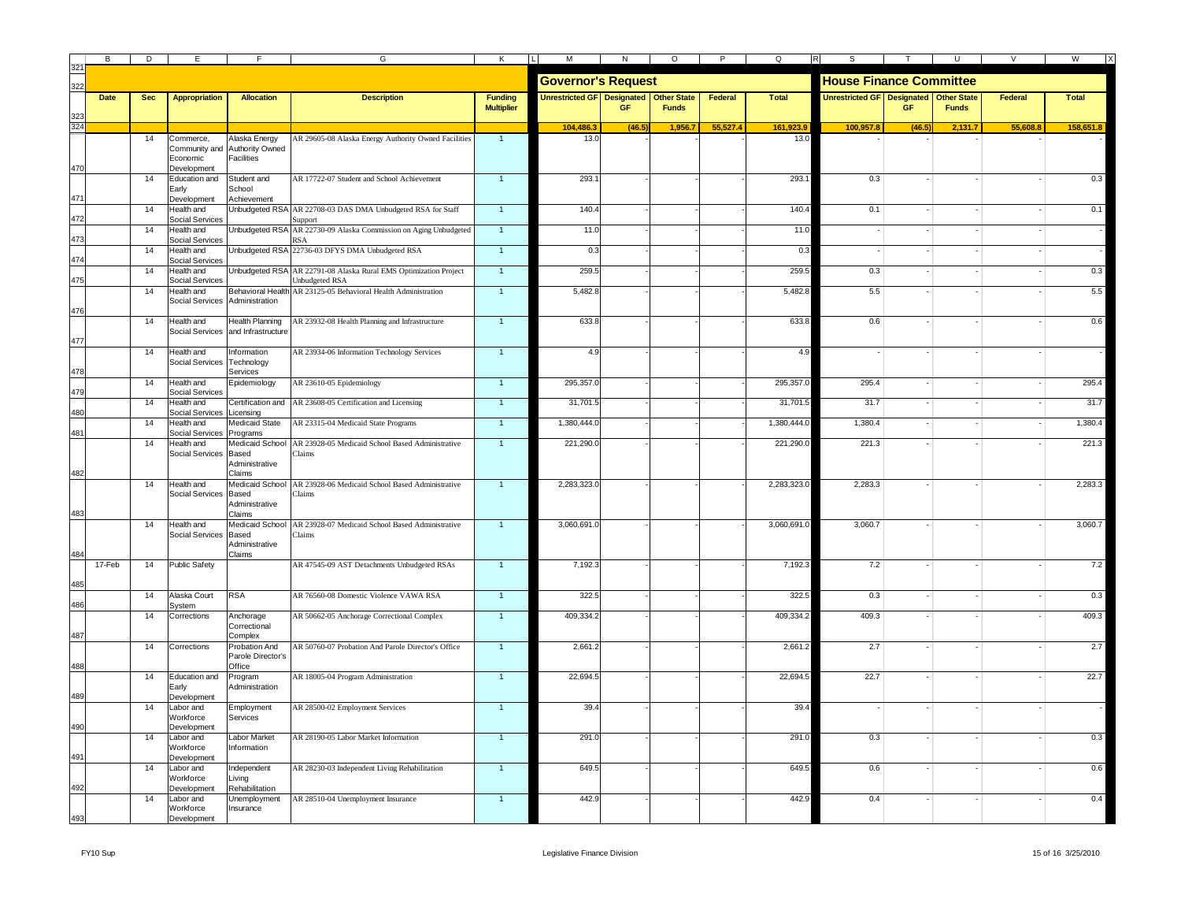|     | В           | D          | E                                                     | E                                              | G                                                                                                                                                    | Κ                                   | М<br>LI                           | N      | $\circ$                            | P        | $\Omega$                       | S                                 |        |                                    | $\mathsf{V}$ | W            |
|-----|-------------|------------|-------------------------------------------------------|------------------------------------------------|------------------------------------------------------------------------------------------------------------------------------------------------------|-------------------------------------|-----------------------------------|--------|------------------------------------|----------|--------------------------------|-----------------------------------|--------|------------------------------------|--------------|--------------|
| 322 |             |            |                                                       |                                                |                                                                                                                                                      |                                     | <b>Governor's Request</b>         |        |                                    |          | <b>House Finance Committee</b> |                                   |        |                                    |              |              |
|     | <b>Date</b> | <b>Sec</b> | <b>Appropriation</b>                                  | <b>Allocation</b>                              | <b>Description</b>                                                                                                                                   | <b>Funding</b><br><b>Multiplier</b> | <b>Unrestricted GF Designated</b> | GF     | <b>Other State</b><br><b>Funds</b> | Federal  | Total                          | <b>Unrestricted GF Designated</b> | GF     | <b>Other State</b><br><b>Funds</b> | Federal      | <b>Total</b> |
| 324 |             |            |                                                       |                                                |                                                                                                                                                      |                                     | 104,486.3                         | (46.5) | 1,956.7                            | 55,527.4 | 161,923.9                      | 100,957.8                         | (46.5) | 2,131.7                            | 55,608.      | 158,651.8    |
| 470 |             | 14         | Commerce,<br>Community and<br>Economic<br>bevelopment | Alaska Energy<br>Authority Owned<br>Facilities | AR 29605-08 Alaska Energy Authority Owned Facilities                                                                                                 | $\overline{1}$                      | 13.0                              |        |                                    |          | 13.0                           |                                   |        |                                    |              |              |
| 471 |             | 14         | Education and<br>Early<br>Development                 | Student and<br>School<br>Achievement           | AR 17722-07 Student and School Achievement                                                                                                           | $\mathbf{1}$                        | 293.1                             |        |                                    |          | 293.1                          | 0.3                               |        |                                    |              | 0.3          |
| 472 |             | 14         | Health and<br>Social Services                         |                                                | Unbudgeted RSA AR 22708-03 DAS DMA Unbudgeted RSA for Staff<br>Support                                                                               | $\overline{1}$                      | 140.4                             |        |                                    |          | 140.4                          | 0.1                               |        |                                    |              | 0.1          |
| 473 |             | 14         | Health and<br>Social Services                         |                                                | Unbudgeted RSA AR 22730-09 Alaska Commission on Aging Unbudgeted<br><b>RSA</b>                                                                       | $\overline{1}$                      | 11.0                              |        |                                    |          | 11.0                           |                                   |        |                                    |              |              |
| 474 |             | 14         | Health and<br><b>Social Services</b>                  |                                                | Unbudgeted RSA 22736-03 DFYS DMA Unbudgeted RSA                                                                                                      | $\overline{1}$                      | 0.3                               |        |                                    |          | 0.3                            |                                   |        |                                    |              |              |
| 475 |             | 14<br>14   | Health and<br>Social Services                         |                                                | Unbudgeted RSA AR 22791-08 Alaska Rural EMS Optimization Project<br>Unbudgeted RSA<br>Behavioral Health AR 23125-05 Behavioral Health Administration | $\mathbf{1}$<br>$\overline{1}$      | 259.5                             |        |                                    |          | 259.5                          | 0.3                               |        |                                    |              | 0.3          |
| 476 |             |            | Health and<br>Social Services                         | Administration                                 |                                                                                                                                                      |                                     | 5,482.8                           |        |                                    |          | 5,482.8                        | 5.5                               |        |                                    |              | 5.5          |
| 477 |             | 14         | Health and<br>Social Services                         | <b>Health Planning</b><br>and Infrastructure   | AR 23932-08 Health Planning and Infrastructure                                                                                                       | $\overline{1}$                      | 633.8                             |        |                                    |          | 633.8                          | 0.6                               |        |                                    |              | 0.6          |
| 478 |             | 14         | Health and<br>Social Services                         | Information<br>Technology<br>Services          | AR 23934-06 Information Technology Services                                                                                                          | $\overline{1}$                      | 4.9                               |        |                                    |          | 4.9                            |                                   |        |                                    |              |              |
| 479 |             | 14         | Health and<br>Social Services                         | Epidemiology                                   | AR 23610-05 Epidemiology                                                                                                                             | $\mathbf{1}$                        | 295,357.0                         |        |                                    |          | 295,357.0                      | 295.4                             |        |                                    |              | 295.4        |
|     |             | 14         | Health and<br>Social Services                         | Licensing                                      | Certification and AR 23608-05 Certification and Licensing                                                                                            | $\mathbf{1}$                        | 31,701.5                          |        |                                    |          | 31,701.5                       | 31.7                              |        |                                    |              | 31.7         |
| 481 |             | 14         | Health and<br>Social Services                         | Medicaid State<br>Programs                     | AR 23315-04 Medicaid State Programs                                                                                                                  | $\mathbf{1}$                        | 1,380,444.0                       |        |                                    |          | 1,380,444.0                    | 1,380.4                           |        |                                    |              | 1,380.4      |
| 482 |             | 14         | Health and<br><b>Social Services</b>                  | Based<br>Administrative<br>Claims              | Medicaid School AR 23928-05 Medicaid School Based Administrative<br>Claims                                                                           | $\overline{1}$                      | 221,290.0                         |        |                                    |          | 221,290.0                      | 221.3                             |        |                                    |              | 221.3        |
| 483 |             | 14         | Health and<br>Social Services                         | Based<br>Administrative<br>Claims              | Medicaid School AR 23928-06 Medicaid School Based Administrative<br>Claims                                                                           | $\overline{1}$                      | 2,283,323.0                       |        |                                    |          | 2,283,323.0                    | 2,283.3                           |        |                                    |              | 2,283.3      |
| 484 |             | 14         | Health and<br>Social Services                         | Based<br>Administrative<br>Claims              | Medicaid School AR 23928-07 Medicaid School Based Administrative<br>Claims                                                                           | $\mathbf{1}$                        | 3,060,691.0                       |        |                                    |          | 3,060,691.0                    | 3,060.7                           |        |                                    |              | 3,060.7      |
| 485 | 17-Feb      | 14         | <b>Public Safety</b>                                  |                                                | AR 47545-09 AST Detachments Unbudgeted RSAs                                                                                                          | $\overline{1}$                      | 7,192.3                           |        |                                    |          | 7,192.3                        | 7.2                               |        |                                    |              | 7.2          |
| 486 |             | 14         | Alaska Court<br>System                                | <b>RSA</b>                                     | AR 76560-08 Domestic Violence VAWA RSA                                                                                                               | $\mathbf{1}$                        | 322.5                             |        |                                    |          | 322.5                          | 0.3                               |        |                                    |              | 0.3          |
| 487 |             | 14         | Corrections                                           | Anchorage<br>Correctional<br>Complex           | AR 50662-05 Anchorage Correctional Complex                                                                                                           | $\mathbf{1}$                        | 409,334.2                         |        |                                    |          | 409,334.2                      | 409.3                             |        |                                    |              | 409.3        |
| 488 |             | 14         | Corrections                                           | Probation And<br>Parole Director's<br>Office   | AR 50760-07 Probation And Parole Director's Office                                                                                                   | $\mathbf{1}$                        | 2,661.2                           |        |                                    |          | 2,661.2                        | 2.7                               |        |                                    |              | 2.7          |
| 489 |             | 14         | Education and<br>Early<br>Development                 | Program<br>Administration                      | AR 18005-04 Program Administration                                                                                                                   | $\mathbf{1}$                        | 22,694.5                          |        |                                    |          | 22,694.5                       | 22.7                              |        |                                    |              | 22.7         |
| 490 |             | 14         | Labor and<br>Workforce<br>Development                 | Employment<br>Services                         | AR 28500-02 Employment Services                                                                                                                      | $\overline{1}$                      | 39.4                              |        |                                    |          | 39.4                           |                                   |        |                                    |              |              |
| 491 |             | 14         | Labor and<br>Workforce<br><b>Development</b>          | Labor Market<br>Information                    | AR 28190-05 Labor Market Information                                                                                                                 | $\mathbf{1}$                        | 291.0                             |        |                                    |          | 291.0                          | 0.3                               |        |                                    |              | 0.3          |
| 492 |             | 14         | abor and<br><b>Norkforce</b><br><b>Development</b>    | Independent<br>Living<br>Rehabilitation        | AR 28230-03 Independent Living Rehabilitation                                                                                                        | $\overline{1}$                      | 649.5                             |        |                                    |          | 649.5                          | 0.6                               |        |                                    |              | 0.6          |
| 493 |             | 14         | Labor and<br>Workforce<br>Development                 | Unemployment<br>Insurance                      | AR 28510-04 Unemployment Insurance                                                                                                                   | $\mathbf{1}$                        | 442.9                             |        |                                    |          | 442.9                          | 0.4                               |        |                                    |              | 0.4          |